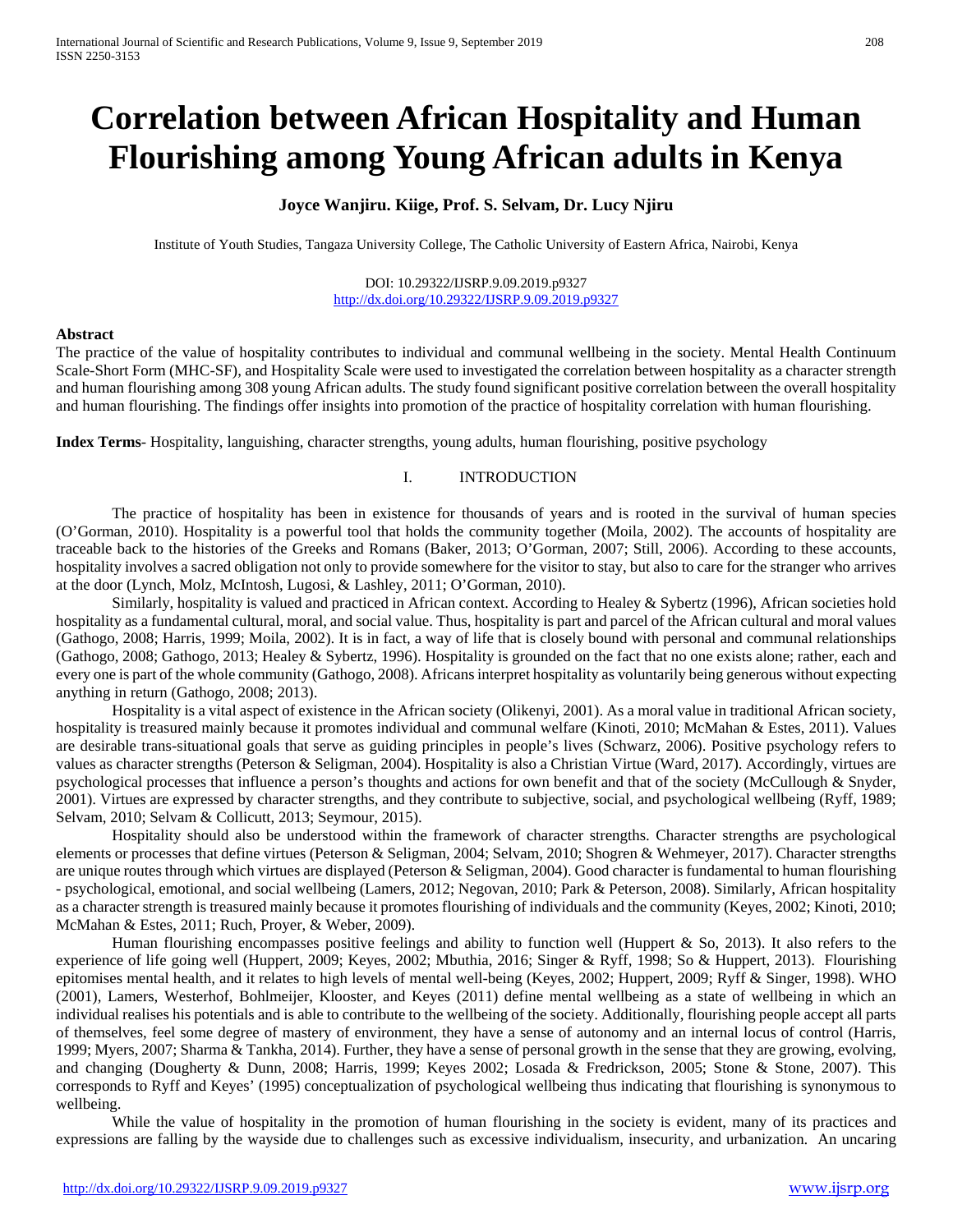# **Correlation between African Hospitality and Human Flourishing among Young African adults in Kenya**

## **Joyce Wanjiru. Kiige, Prof. S. Selvam, Dr. Lucy Njiru**

Institute of Youth Studies, Tangaza University College, The Catholic University of Eastern Africa, Nairobi, Kenya

#### DOI: 10.29322/IJSRP.9.09.2019.p9327 <http://dx.doi.org/10.29322/IJSRP.9.09.2019.p9327>

#### **Abstract**

The practice of the value of hospitality contributes to individual and communal wellbeing in the society. Mental Health Continuum Scale-Short Form (MHC-SF), and Hospitality Scale were used to investigated the correlation between hospitality as a character strength and human flourishing among 308 young African adults. The study found significant positive correlation between the overall hospitality and human flourishing. The findings offer insights into promotion of the practice of hospitality correlation with human flourishing.

**Index Terms**- Hospitality, languishing, character strengths, young adults, human flourishing, positive psychology

## I. INTRODUCTION

The practice of hospitality has been in existence for thousands of years and is rooted in the survival of human species (O'Gorman, 2010). Hospitality is a powerful tool that holds the community together (Moila, 2002). The accounts of hospitality are traceable back to the histories of the Greeks and Romans (Baker, 2013; O'Gorman, 2007; Still, 2006). According to these accounts, hospitality involves a sacred obligation not only to provide somewhere for the visitor to stay, but also to care for the stranger who arrives at the door (Lynch, Molz, McIntosh, Lugosi, & Lashley, 2011; O'Gorman, 2010).

Similarly, hospitality is valued and practiced in African context. According to Healey & Sybertz (1996), African societies hold hospitality as a fundamental cultural, moral, and social value. Thus, hospitality is part and parcel of the African cultural and moral values (Gathogo, 2008; Harris, 1999; Moila, 2002). It is in fact, a way of life that is closely bound with personal and communal relationships (Gathogo, 2008; Gathogo, 2013; Healey & Sybertz, 1996). Hospitality is grounded on the fact that no one exists alone; rather, each and every one is part of the whole community (Gathogo, 2008). Africans interpret hospitality as voluntarily being generous without expecting anything in return (Gathogo, 2008; 2013).

Hospitality is a vital aspect of existence in the African society (Olikenyi, 2001). As a moral value in traditional African society, hospitality is treasured mainly because it promotes individual and communal welfare (Kinoti, 2010; McMahan & Estes, 2011). Values are desirable trans-situational goals that serve as guiding principles in people's lives (Schwarz, 2006). Positive psychology refers to values as character strengths (Peterson & Seligman, 2004). Hospitality is also a Christian Virtue (Ward, 2017). Accordingly, virtues are psychological processes that influence a person's thoughts and actions for own benefit and that of the society (McCullough & Snyder, 2001). Virtues are expressed by character strengths, and they contribute to subjective, social, and psychological wellbeing (Ryff, 1989; Selvam, 2010; Selvam & Collicutt, 2013; Seymour, 2015).

Hospitality should also be understood within the framework of character strengths. Character strengths are psychological elements or processes that define virtues (Peterson & Seligman, 2004; Selvam, 2010; Shogren & Wehmeyer, 2017). Character strengths are unique routes through which virtues are displayed (Peterson & Seligman, 2004). Good character is fundamental to human flourishing - psychological, emotional, and social wellbeing (Lamers, 2012; Negovan, 2010; Park & Peterson, 2008). Similarly, African hospitality as a character strength is treasured mainly because it promotes flourishing of individuals and the community (Keyes, 2002; Kinoti, 2010; McMahan & Estes, 2011; Ruch, Proyer, & Weber, 2009).

Human flourishing encompasses positive feelings and ability to function well (Huppert & So, 2013). It also refers to the experience of life going well (Huppert, 2009; Keyes, 2002; Mbuthia, 2016; Singer & Ryff, 1998; So & Huppert, 2013). Flourishing epitomises mental health, and it relates to high levels of mental well-being (Keyes, 2002; Huppert, 2009; Ryff & Singer, 1998). WHO (2001), Lamers, Westerhof, Bohlmeijer, Klooster, and Keyes (2011) define mental wellbeing as a state of wellbeing in which an individual realises his potentials and is able to contribute to the wellbeing of the society. Additionally, flourishing people accept all parts of themselves, feel some degree of mastery of environment, they have a sense of autonomy and an internal locus of control (Harris, 1999; Myers, 2007; Sharma & Tankha, 2014). Further, they have a sense of personal growth in the sense that they are growing, evolving, and changing (Dougherty & Dunn, 2008; Harris, 1999; Keyes 2002; Losada & Fredrickson, 2005; Stone & Stone, 2007). This corresponds to Ryff and Keyes' (1995) conceptualization of psychological wellbeing thus indicating that flourishing is synonymous to wellbeing.

While the value of hospitality in the promotion of human flourishing in the society is evident, many of its practices and expressions are falling by the wayside due to challenges such as excessive individualism, insecurity, and urbanization. An uncaring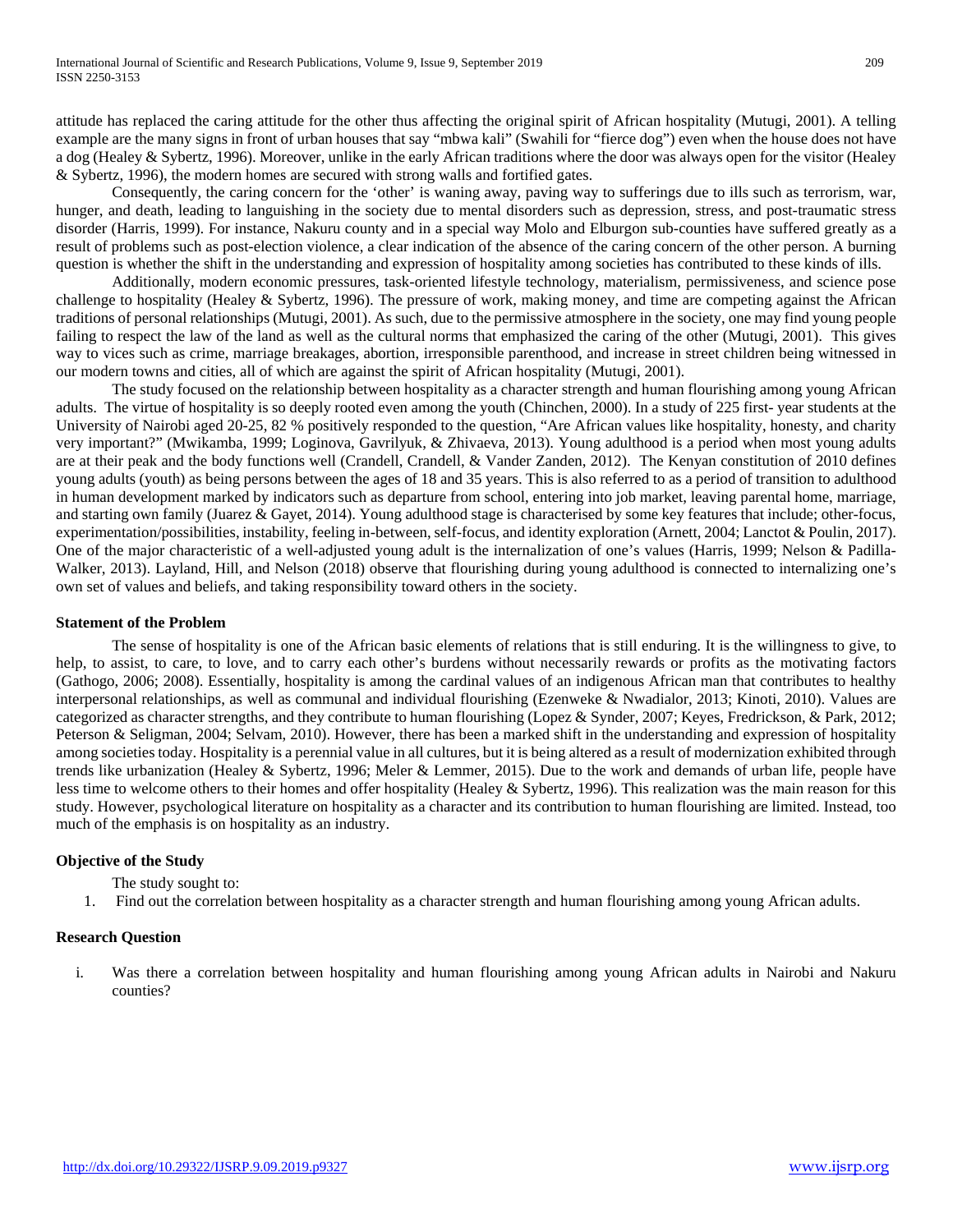attitude has replaced the caring attitude for the other thus affecting the original spirit of African hospitality (Mutugi, 2001). A telling example are the many signs in front of urban houses that say "mbwa kali" (Swahili for "fierce dog") even when the house does not have a dog (Healey & Sybertz, 1996). Moreover, unlike in the early African traditions where the door was always open for the visitor (Healey & Sybertz, 1996), the modern homes are secured with strong walls and fortified gates.

Consequently, the caring concern for the 'other' is waning away, paving way to sufferings due to ills such as terrorism, war, hunger, and death, leading to languishing in the society due to mental disorders such as depression, stress, and post-traumatic stress disorder (Harris, 1999). For instance, Nakuru county and in a special way Molo and Elburgon sub-counties have suffered greatly as a result of problems such as post-election violence, a clear indication of the absence of the caring concern of the other person. A burning question is whether the shift in the understanding and expression of hospitality among societies has contributed to these kinds of ills.

Additionally, modern economic pressures, task-oriented lifestyle technology, materialism, permissiveness, and science pose challenge to hospitality (Healey & Sybertz, 1996). The pressure of work, making money, and time are competing against the African traditions of personal relationships (Mutugi, 2001). As such, due to the permissive atmosphere in the society, one may find young people failing to respect the law of the land as well as the cultural norms that emphasized the caring of the other (Mutugi, 2001). This gives way to vices such as crime, marriage breakages, abortion, irresponsible parenthood, and increase in street children being witnessed in our modern towns and cities, all of which are against the spirit of African hospitality (Mutugi, 2001).

The study focused on the relationship between hospitality as a character strength and human flourishing among young African adults. The virtue of hospitality is so deeply rooted even among the youth (Chinchen, 2000). In a study of 225 first- year students at the University of Nairobi aged 20-25, 82 % positively responded to the question, "Are African values like hospitality, honesty, and charity very important?" (Mwikamba, 1999; Loginova, Gavrilyuk, & Zhivaeva, 2013). Young adulthood is a period when most young adults are at their peak and the body functions well (Crandell, Crandell, & Vander Zanden, 2012). The Kenyan constitution of 2010 defines young adults (youth) as being persons between the ages of 18 and 35 years. This is also referred to as a period of transition to adulthood in human development marked by indicators such as departure from school, entering into job market, leaving parental home, marriage, and starting own family (Juarez & Gayet, 2014). Young adulthood stage is characterised by some key features that include; other-focus, experimentation/possibilities, instability, feeling in-between, self-focus, and identity exploration (Arnett, 2004; Lanctot & Poulin, 2017). One of the major characteristic of a well-adjusted young adult is the internalization of one's values (Harris, 1999; Nelson & Padilla-Walker, 2013). Layland, Hill, and Nelson (2018) observe that flourishing during young adulthood is connected to internalizing one's own set of values and beliefs, and taking responsibility toward others in the society.

#### **Statement of the Problem**

The sense of hospitality is one of the African basic elements of relations that is still enduring. It is the willingness to give, to help, to assist, to care, to love, and to carry each other's burdens without necessarily rewards or profits as the motivating factors (Gathogo, 2006; 2008). Essentially, hospitality is among the cardinal values of an indigenous African man that contributes to healthy interpersonal relationships, as well as communal and individual flourishing (Ezenweke & Nwadialor, 2013; Kinoti, 2010). Values are categorized as character strengths, and they contribute to human flourishing (Lopez & Synder, 2007; Keyes, Fredrickson, & Park, 2012; Peterson & Seligman, 2004; Selvam, 2010). However, there has been a marked shift in the understanding and expression of hospitality among societies today. Hospitality is a perennial value in all cultures, but it is being altered as a result of modernization exhibited through trends like urbanization (Healey & Sybertz, 1996; Meler & Lemmer, 2015). Due to the work and demands of urban life, people have less time to welcome others to their homes and offer hospitality (Healey & Sybertz, 1996). This realization was the main reason for this study. However, psychological literature on hospitality as a character and its contribution to human flourishing are limited. Instead, too much of the emphasis is on hospitality as an industry.

## **Objective of the Study**

The study sought to:

1. Find out the correlation between hospitality as a character strength and human flourishing among young African adults.

## **Research Question**

i. Was there a correlation between hospitality and human flourishing among young African adults in Nairobi and Nakuru counties?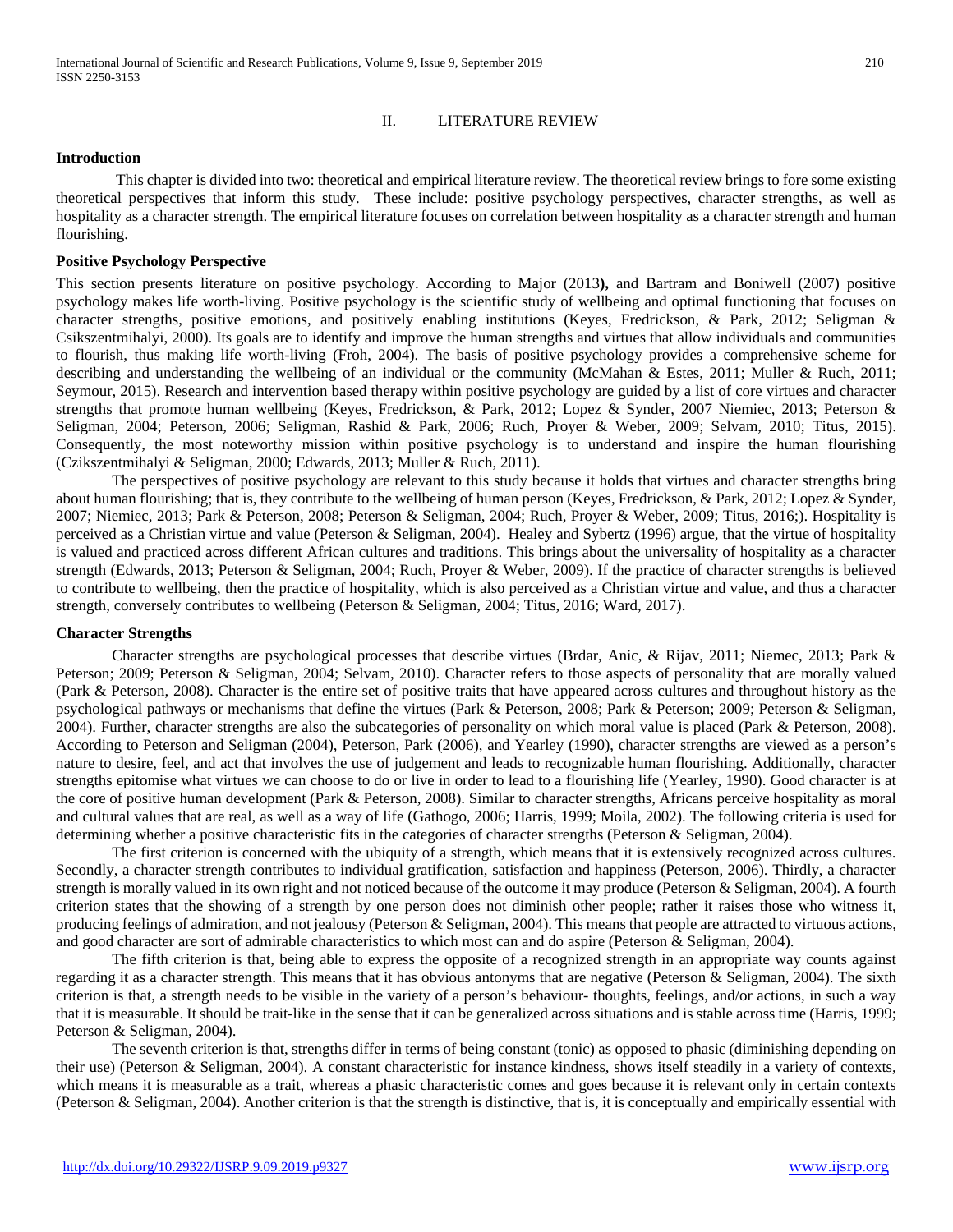#### II. LITERATURE REVIEW

#### **Introduction**

This chapter is divided into two: theoretical and empirical literature review. The theoretical review brings to fore some existing theoretical perspectives that inform this study. These include: positive psychology perspectives, character strengths, as well as hospitality as a character strength. The empirical literature focuses on correlation between hospitality as a character strength and human flourishing.

#### **Positive Psychology Perspective**

This section presents literature on positive psychology. According to Major (2013**),** and Bartram and Boniwell (2007) positive psychology makes life worth-living. Positive psychology is the scientific study of wellbeing and optimal functioning that focuses on character strengths, positive emotions, and positively enabling institutions (Keyes, Fredrickson, & Park, 2012; Seligman & Csikszentmihalyi, 2000). Its goals are to identify and improve the human strengths and virtues that allow individuals and communities to flourish, thus making life worth-living (Froh, 2004). The basis of positive psychology provides a comprehensive scheme for describing and understanding the wellbeing of an individual or the community (McMahan & Estes, 2011; Muller & Ruch, 2011; Seymour, 2015). Research and intervention based therapy within positive psychology are guided by a list of core virtues and character strengths that promote human wellbeing (Keyes, Fredrickson, & Park, 2012; Lopez & Synder, 2007 Niemiec, 2013; Peterson & Seligman, 2004; Peterson, 2006; Seligman, Rashid & Park, 2006; Ruch, Proyer & Weber, 2009; Selvam, 2010; Titus, 2015). Consequently, the most noteworthy mission within positive psychology is to understand and inspire the human flourishing (Czikszentmihalyi & Seligman, 2000; Edwards, 2013; Muller & Ruch, 2011).

The perspectives of positive psychology are relevant to this study because it holds that virtues and character strengths bring about human flourishing; that is, they contribute to the wellbeing of human person (Keyes, Fredrickson, & Park, 2012; Lopez & Synder, 2007; Niemiec, 2013; Park & Peterson, 2008; Peterson & Seligman, 2004; Ruch, Proyer & Weber, 2009; Titus, 2016;). Hospitality is perceived as a Christian virtue and value (Peterson & Seligman, 2004). Healey and Sybertz (1996) argue, that the virtue of hospitality is valued and practiced across different African cultures and traditions. This brings about the universality of hospitality as a character strength (Edwards, 2013; Peterson & Seligman, 2004; Ruch, Proyer & Weber, 2009). If the practice of character strengths is believed to contribute to wellbeing, then the practice of hospitality, which is also perceived as a Christian virtue and value, and thus a character strength, conversely contributes to wellbeing (Peterson & Seligman, 2004; Titus, 2016; Ward, 2017).

#### **Character Strengths**

Character strengths are psychological processes that describe virtues (Brdar, Anic, & Rijav, 2011; Niemec, 2013; Park & Peterson; 2009; Peterson & Seligman, 2004; Selvam, 2010). Character refers to those aspects of personality that are morally valued (Park & Peterson, 2008). Character is the entire set of positive traits that have appeared across cultures and throughout history as the psychological pathways or mechanisms that define the virtues (Park & Peterson, 2008; Park & Peterson; 2009; Peterson & Seligman, 2004). Further, character strengths are also the subcategories of personality on which moral value is placed (Park & Peterson, 2008). According to Peterson and Seligman (2004), Peterson, Park (2006), and Yearley (1990), character strengths are viewed as a person's nature to desire, feel, and act that involves the use of judgement and leads to recognizable human flourishing. Additionally, character strengths epitomise what virtues we can choose to do or live in order to lead to a flourishing life (Yearley, 1990). Good character is at the core of positive human development (Park & Peterson, 2008). Similar to character strengths, Africans perceive hospitality as moral and cultural values that are real, as well as a way of life (Gathogo, 2006; Harris, 1999; Moila, 2002). The following criteria is used for determining whether a positive characteristic fits in the categories of character strengths (Peterson & Seligman, 2004).

The first criterion is concerned with the ubiquity of a strength, which means that it is extensively recognized across cultures. Secondly, a character strength contributes to individual gratification, satisfaction and happiness (Peterson, 2006). Thirdly, a character strength is morally valued in its own right and not noticed because of the outcome it may produce (Peterson & Seligman, 2004). A fourth criterion states that the showing of a strength by one person does not diminish other people; rather it raises those who witness it, producing feelings of admiration, and not jealousy (Peterson & Seligman, 2004). This means that people are attracted to virtuous actions, and good character are sort of admirable characteristics to which most can and do aspire (Peterson & Seligman, 2004).

The fifth criterion is that, being able to express the opposite of a recognized strength in an appropriate way counts against regarding it as a character strength. This means that it has obvious antonyms that are negative (Peterson & Seligman, 2004). The sixth criterion is that, a strength needs to be visible in the variety of a person's behaviour- thoughts, feelings, and/or actions, in such a way that it is measurable. It should be trait-like in the sense that it can be generalized across situations and is stable across time (Harris, 1999; Peterson & Seligman, 2004).

The seventh criterion is that, strengths differ in terms of being constant (tonic) as opposed to phasic (diminishing depending on their use) (Peterson & Seligman, 2004). A constant characteristic for instance kindness, shows itself steadily in a variety of contexts, which means it is measurable as a trait, whereas a phasic characteristic comes and goes because it is relevant only in certain contexts (Peterson & Seligman, 2004). Another criterion is that the strength is distinctive, that is, it is conceptually and empirically essential with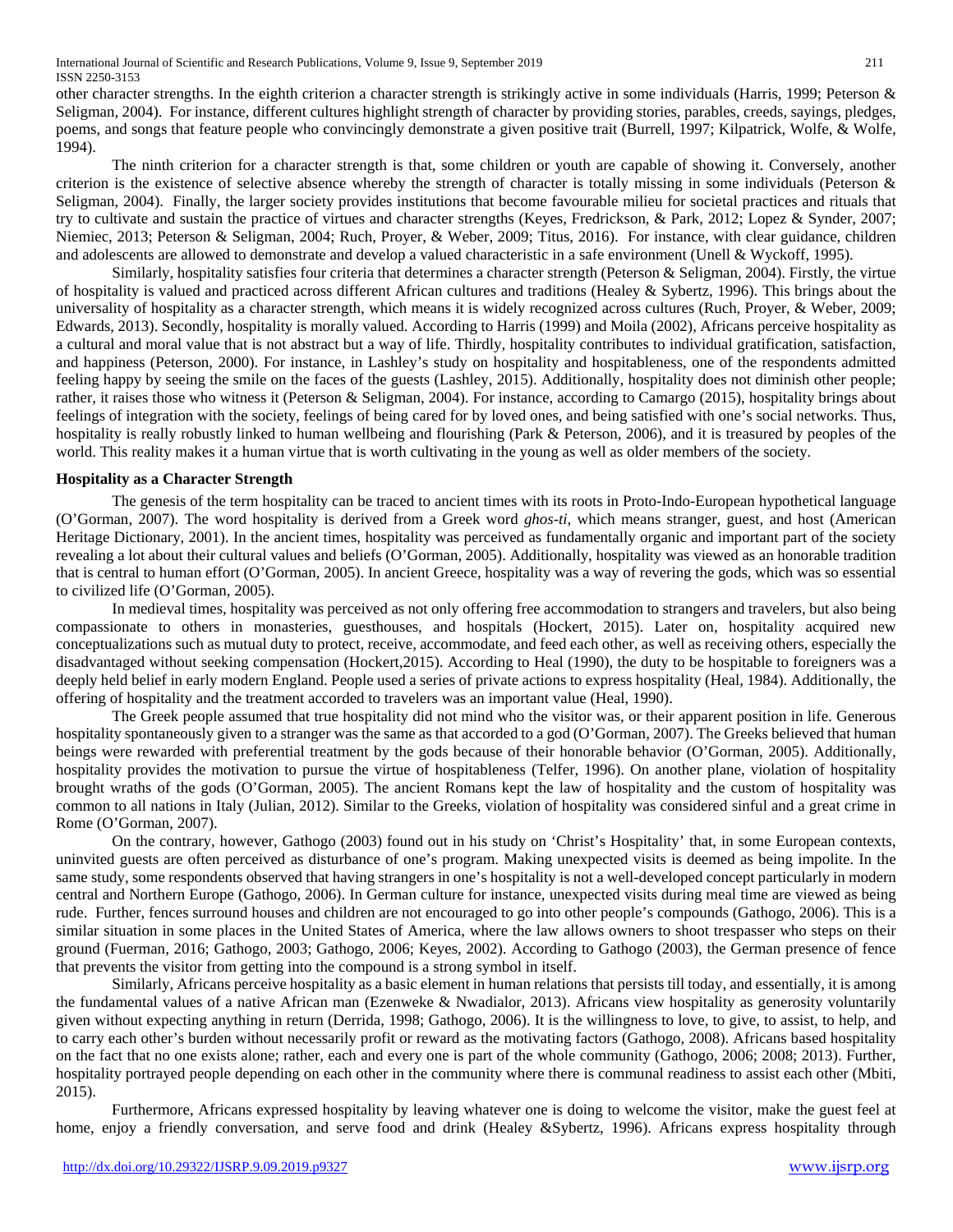International Journal of Scientific and Research Publications, Volume 9, Issue 9, September 2019 211 ISSN 2250-3153

other character strengths. In the eighth criterion a character strength is strikingly active in some individuals (Harris, 1999; Peterson  $\&$ Seligman, 2004). For instance, different cultures highlight strength of character by providing stories, parables, creeds, sayings, pledges, poems, and songs that feature people who convincingly demonstrate a given positive trait (Burrell, 1997; Kilpatrick, Wolfe, & Wolfe, 1994).

The ninth criterion for a character strength is that, some children or youth are capable of showing it. Conversely, another criterion is the existence of selective absence whereby the strength of character is totally missing in some individuals (Peterson & Seligman, 2004). Finally, the larger society provides institutions that become favourable milieu for societal practices and rituals that try to cultivate and sustain the practice of virtues and character strengths (Keyes, Fredrickson, & Park, 2012; Lopez & Synder, 2007; Niemiec, 2013; Peterson & Seligman, 2004; Ruch, Proyer, & Weber, 2009; Titus, 2016). For instance, with clear guidance, children and adolescents are allowed to demonstrate and develop a valued characteristic in a safe environment (Unell & Wyckoff, 1995).

Similarly, hospitality satisfies four criteria that determines a character strength (Peterson & Seligman, 2004). Firstly, the virtue of hospitality is valued and practiced across different African cultures and traditions (Healey & Sybertz, 1996). This brings about the universality of hospitality as a character strength, which means it is widely recognized across cultures (Ruch, Proyer, & Weber, 2009; Edwards, 2013). Secondly, hospitality is morally valued. According to Harris (1999) and Moila (2002), Africans perceive hospitality as a cultural and moral value that is not abstract but a way of life. Thirdly, hospitality contributes to individual gratification, satisfaction, and happiness (Peterson, 2000). For instance, in Lashley's study on hospitality and hospitableness, one of the respondents admitted feeling happy by seeing the smile on the faces of the guests (Lashley, 2015). Additionally, hospitality does not diminish other people; rather, it raises those who witness it (Peterson & Seligman, 2004). For instance, according to Camargo (2015), hospitality brings about feelings of integration with the society, feelings of being cared for by loved ones, and being satisfied with one's social networks. Thus, hospitality is really robustly linked to human wellbeing and flourishing (Park & Peterson, 2006), and it is treasured by peoples of the world. This reality makes it a human virtue that is worth cultivating in the young as well as older members of the society.

#### **Hospitality as a Character Strength**

The genesis of the term hospitality can be traced to ancient times with its roots in Proto-Indo-European hypothetical language (O'Gorman, 2007). The word hospitality is derived from a Greek word *ghos-ti*, which means stranger, guest, and host (American Heritage Dictionary, 2001). In the ancient times, hospitality was perceived as fundamentally organic and important part of the society revealing a lot about their cultural values and beliefs (O'Gorman, 2005). Additionally, hospitality was viewed as an honorable tradition that is central to human effort (O'Gorman, 2005). In ancient Greece, hospitality was a way of revering the gods, which was so essential to civilized life (O'Gorman, 2005).

In medieval times, hospitality was perceived as not only offering free accommodation to strangers and travelers, but also being compassionate to others in monasteries, guesthouses, and hospitals (Hockert, 2015). Later on, hospitality acquired new conceptualizations such as mutual duty to protect, receive, accommodate, and feed each other, as well as receiving others, especially the disadvantaged without seeking compensation (Hockert,2015). According to Heal (1990), the duty to be hospitable to foreigners was a deeply held belief in early modern England. People used a series of private actions to express hospitality (Heal, 1984). Additionally, the offering of hospitality and the treatment accorded to travelers was an important value (Heal, 1990).

The Greek people assumed that true hospitality did not mind who the visitor was, or their apparent position in life. Generous hospitality spontaneously given to a stranger was the same as that accorded to a god (O'Gorman, 2007). The Greeks believed that human beings were rewarded with preferential treatment by the gods because of their honorable behavior (O'Gorman, 2005). Additionally, hospitality provides the motivation to pursue the virtue of hospitableness (Telfer, 1996). On another plane, violation of hospitality brought wraths of the gods (O'Gorman, 2005). The ancient Romans kept the law of hospitality and the custom of hospitality was common to all nations in Italy (Julian, 2012). Similar to the Greeks, violation of hospitality was considered sinful and a great crime in Rome (O'Gorman, 2007).

On the contrary, however, Gathogo (2003) found out in his study on 'Christ's Hospitality' that, in some European contexts, uninvited guests are often perceived as disturbance of one's program. Making unexpected visits is deemed as being impolite. In the same study, some respondents observed that having strangers in one's hospitality is not a well-developed concept particularly in modern central and Northern Europe (Gathogo, 2006). In German culture for instance, unexpected visits during meal time are viewed as being rude. Further, fences surround houses and children are not encouraged to go into other people's compounds (Gathogo, 2006). This is a similar situation in some places in the United States of America, where the law allows owners to shoot trespasser who steps on their ground (Fuerman, 2016; Gathogo, 2003; Gathogo, 2006; Keyes, 2002). According to Gathogo (2003), the German presence of fence that prevents the visitor from getting into the compound is a strong symbol in itself.

Similarly, Africans perceive hospitality as a basic element in human relations that persists till today, and essentially, it is among the fundamental values of a native African man (Ezenweke & Nwadialor, 2013). Africans view hospitality as generosity voluntarily given without expecting anything in return (Derrida, 1998; Gathogo, 2006). It is the willingness to love, to give, to assist, to help, and to carry each other's burden without necessarily profit or reward as the motivating factors (Gathogo, 2008). Africans based hospitality on the fact that no one exists alone; rather, each and every one is part of the whole community (Gathogo, 2006; 2008; 2013). Further, hospitality portrayed people depending on each other in the community where there is communal readiness to assist each other (Mbiti, 2015).

Furthermore, Africans expressed hospitality by leaving whatever one is doing to welcome the visitor, make the guest feel at home, enjoy a friendly conversation, and serve food and drink (Healey &Sybertz, 1996). Africans express hospitality through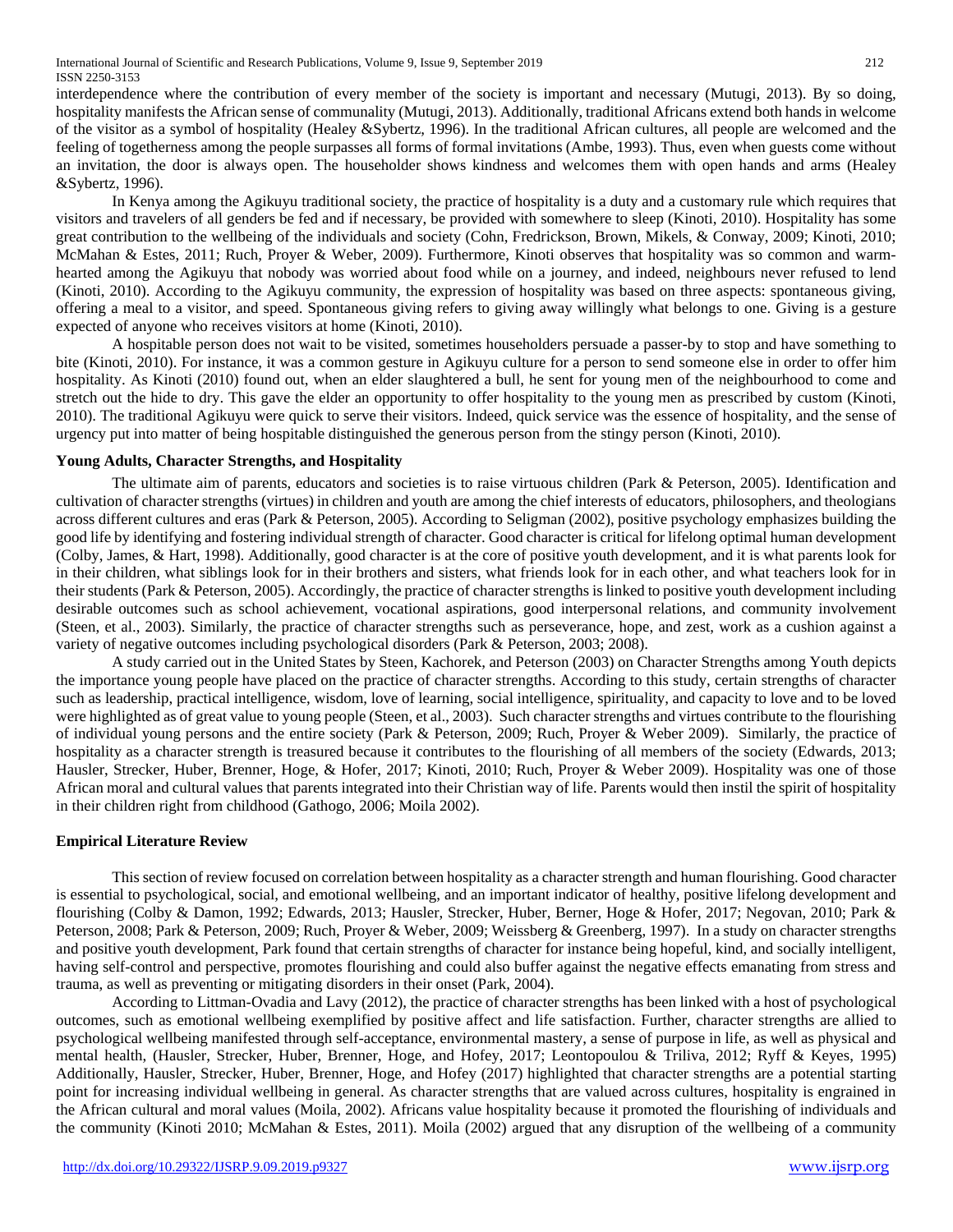International Journal of Scientific and Research Publications, Volume 9, Issue 9, September 2019 212 ISSN 2250-3153

interdependence where the contribution of every member of the society is important and necessary (Mutugi, 2013). By so doing, hospitality manifests the African sense of communality (Mutugi, 2013). Additionally, traditional Africans extend both hands in welcome of the visitor as a symbol of hospitality (Healey &Sybertz, 1996). In the traditional African cultures, all people are welcomed and the feeling of togetherness among the people surpasses all forms of formal invitations (Ambe, 1993). Thus, even when guests come without an invitation, the door is always open. The householder shows kindness and welcomes them with open hands and arms (Healey &Sybertz, 1996).

In Kenya among the Agikuyu traditional society, the practice of hospitality is a duty and a customary rule which requires that visitors and travelers of all genders be fed and if necessary, be provided with somewhere to sleep (Kinoti, 2010). Hospitality has some great contribution to the wellbeing of the individuals and society (Cohn, Fredrickson, Brown, Mikels, & Conway, 2009; Kinoti, 2010; McMahan & Estes, 2011; Ruch, Proyer & Weber, 2009). Furthermore, Kinoti observes that hospitality was so common and warmhearted among the Agikuyu that nobody was worried about food while on a journey, and indeed, neighbours never refused to lend (Kinoti, 2010). According to the Agikuyu community, the expression of hospitality was based on three aspects: spontaneous giving, offering a meal to a visitor, and speed. Spontaneous giving refers to giving away willingly what belongs to one. Giving is a gesture expected of anyone who receives visitors at home (Kinoti, 2010).

A hospitable person does not wait to be visited, sometimes householders persuade a passer-by to stop and have something to bite (Kinoti, 2010). For instance, it was a common gesture in Agikuyu culture for a person to send someone else in order to offer him hospitality. As Kinoti (2010) found out, when an elder slaughtered a bull, he sent for young men of the neighbourhood to come and stretch out the hide to dry. This gave the elder an opportunity to offer hospitality to the young men as prescribed by custom (Kinoti, 2010). The traditional Agikuyu were quick to serve their visitors. Indeed, quick service was the essence of hospitality, and the sense of urgency put into matter of being hospitable distinguished the generous person from the stingy person (Kinoti, 2010).

## **Young Adults, Character Strengths, and Hospitality**

The ultimate aim of parents, educators and societies is to raise virtuous children (Park & Peterson, 2005). Identification and cultivation of character strengths (virtues) in children and youth are among the chief interests of educators, philosophers, and theologians across different cultures and eras (Park & Peterson, 2005). According to Seligman (2002), positive psychology emphasizes building the good life by identifying and fostering individual strength of character. Good character is critical for lifelong optimal human development (Colby, James, & Hart, 1998). Additionally, good character is at the core of positive youth development, and it is what parents look for in their children, what siblings look for in their brothers and sisters, what friends look for in each other, and what teachers look for in their students (Park & Peterson, 2005). Accordingly, the practice of character strengths is linked to positive youth development including desirable outcomes such as school achievement, vocational aspirations, good interpersonal relations, and community involvement (Steen, et al., 2003). Similarly, the practice of character strengths such as perseverance, hope, and zest, work as a cushion against a variety of negative outcomes including psychological disorders (Park & Peterson, 2003; 2008).

A study carried out in the United States by Steen, Kachorek, and Peterson (2003) on Character Strengths among Youth depicts the importance young people have placed on the practice of character strengths. According to this study, certain strengths of character such as leadership, practical intelligence, wisdom, love of learning, social intelligence, spirituality, and capacity to love and to be loved were highlighted as of great value to young people (Steen, et al., 2003). Such character strengths and virtues contribute to the flourishing of individual young persons and the entire society (Park & Peterson, 2009; Ruch, Proyer & Weber 2009). Similarly, the practice of hospitality as a character strength is treasured because it contributes to the flourishing of all members of the society (Edwards, 2013; Hausler, Strecker, Huber, Brenner, Hoge, & Hofer, 2017; Kinoti, 2010; Ruch, Proyer & Weber 2009). Hospitality was one of those African moral and cultural values that parents integrated into their Christian way of life. Parents would then instil the spirit of hospitality in their children right from childhood (Gathogo, 2006; Moila 2002).

#### **Empirical Literature Review**

This section of review focused on correlation between hospitality as a character strength and human flourishing. Good character is essential to psychological, social, and emotional wellbeing, and an important indicator of healthy, positive lifelong development and flourishing (Colby & Damon, 1992; Edwards, 2013; Hausler, Strecker, Huber, Berner, Hoge & Hofer, 2017; Negovan, 2010; Park & Peterson, 2008; Park & Peterson, 2009; Ruch, Proyer & Weber, 2009; Weissberg & Greenberg, 1997). In a study on character strengths and positive youth development, Park found that certain strengths of character for instance being hopeful, kind, and socially intelligent, having self-control and perspective, promotes flourishing and could also buffer against the negative effects emanating from stress and trauma, as well as preventing or mitigating disorders in their onset (Park, 2004).

According to Littman-Ovadia and Lavy (2012), the practice of character strengths has been linked with a host of psychological outcomes, such as emotional wellbeing exemplified by positive affect and life satisfaction. Further, character strengths are allied to psychological wellbeing manifested through self-acceptance, environmental mastery, a sense of purpose in life, as well as physical and mental health, (Hausler, Strecker, Huber, Brenner, Hoge, and Hofey, 2017; Leontopoulou & Triliva, 2012; Ryff & Keyes, 1995) Additionally, Hausler, Strecker, Huber, Brenner, Hoge, and Hofey (2017) highlighted that character strengths are a potential starting point for increasing individual wellbeing in general. As character strengths that are valued across cultures, hospitality is engrained in the African cultural and moral values (Moila, 2002). Africans value hospitality because it promoted the flourishing of individuals and the community (Kinoti 2010; McMahan & Estes, 2011). Moila (2002) argued that any disruption of the wellbeing of a community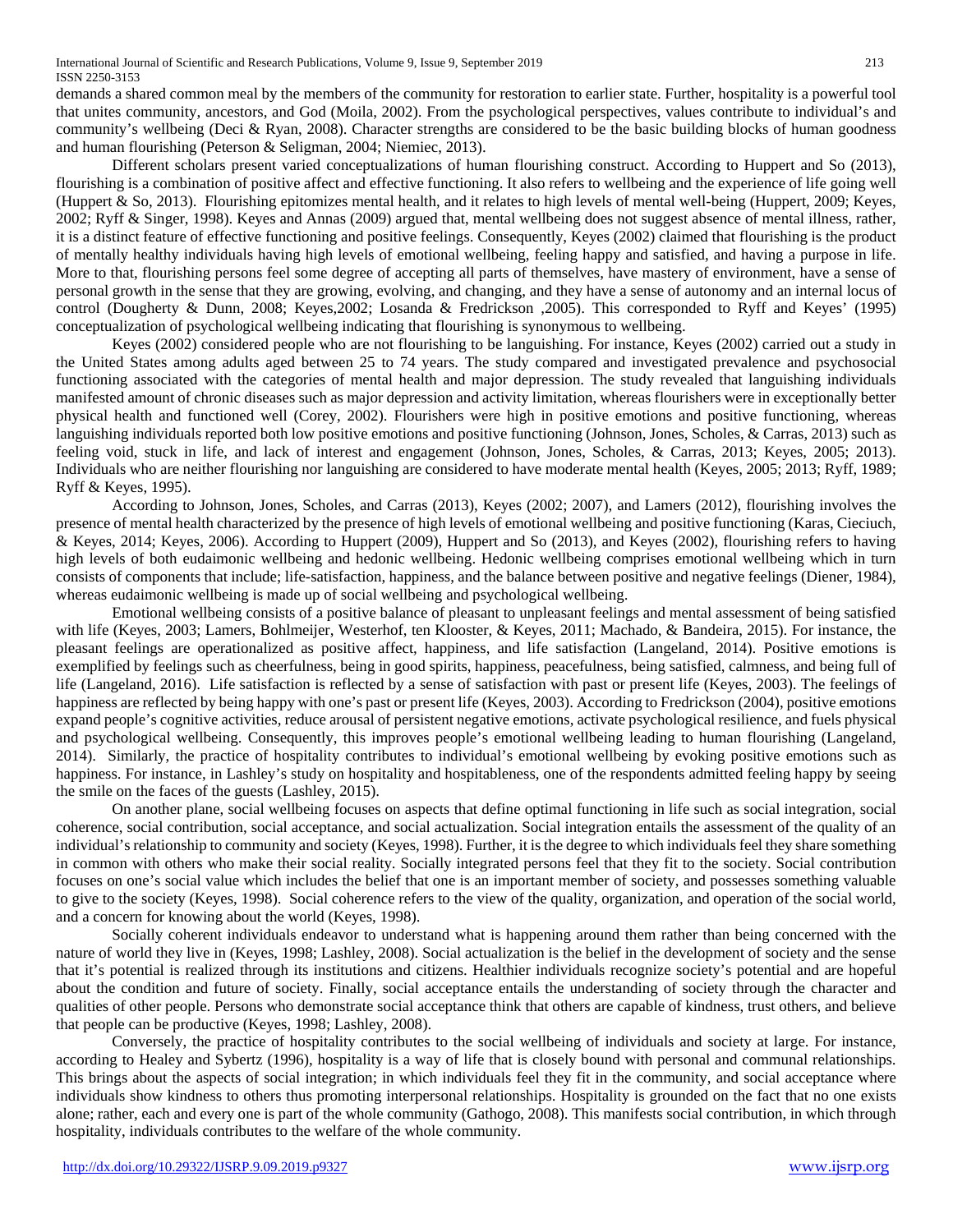demands a shared common meal by the members of the community for restoration to earlier state. Further, hospitality is a powerful tool that unites community, ancestors, and God (Moila, 2002). From the psychological perspectives, values contribute to individual's and community's wellbeing (Deci & Ryan, 2008). Character strengths are considered to be the basic building blocks of human goodness and human flourishing (Peterson & Seligman, 2004; Niemiec, 2013).

Different scholars present varied conceptualizations of human flourishing construct. According to Huppert and So (2013), flourishing is a combination of positive affect and effective functioning. It also refers to wellbeing and the experience of life going well (Huppert & So, 2013). Flourishing epitomizes mental health, and it relates to high levels of mental well-being (Huppert, 2009; Keyes, 2002; Ryff & Singer, 1998). Keyes and Annas (2009) argued that, mental wellbeing does not suggest absence of mental illness, rather, it is a distinct feature of effective functioning and positive feelings. Consequently, Keyes (2002) claimed that flourishing is the product of mentally healthy individuals having high levels of emotional wellbeing, feeling happy and satisfied, and having a purpose in life. More to that, flourishing persons feel some degree of accepting all parts of themselves, have mastery of environment, have a sense of personal growth in the sense that they are growing, evolving, and changing, and they have a sense of autonomy and an internal locus of control (Dougherty & Dunn, 2008; Keyes,2002; Losanda & Fredrickson ,2005). This corresponded to Ryff and Keyes' (1995) conceptualization of psychological wellbeing indicating that flourishing is synonymous to wellbeing.

Keyes (2002) considered people who are not flourishing to be languishing. For instance, Keyes (2002) carried out a study in the United States among adults aged between 25 to 74 years. The study compared and investigated prevalence and psychosocial functioning associated with the categories of mental health and major depression. The study revealed that languishing individuals manifested amount of chronic diseases such as major depression and activity limitation, whereas flourishers were in exceptionally better physical health and functioned well (Corey, 2002). Flourishers were high in positive emotions and positive functioning, whereas languishing individuals reported both low positive emotions and positive functioning (Johnson, Jones, Scholes, & Carras, 2013) such as feeling void, stuck in life, and lack of interest and engagement (Johnson, Jones, Scholes, & Carras, 2013; Keyes, 2005; 2013). Individuals who are neither flourishing nor languishing are considered to have moderate mental health (Keyes, 2005; 2013; Ryff, 1989; Ryff & Keyes, 1995).

According to Johnson, Jones, Scholes, and Carras (2013), Keyes (2002; 2007), and Lamers (2012), flourishing involves the presence of mental health characterized by the presence of high levels of emotional wellbeing and positive functioning (Karas, Cieciuch, & Keyes, 2014; Keyes, 2006). According to Huppert (2009), Huppert and So (2013), and Keyes (2002), flourishing refers to having high levels of both eudaimonic wellbeing and hedonic wellbeing. Hedonic wellbeing comprises emotional wellbeing which in turn consists of components that include; life-satisfaction, happiness, and the balance between positive and negative feelings (Diener, 1984), whereas eudaimonic wellbeing is made up of social wellbeing and psychological wellbeing.

Emotional wellbeing consists of a positive balance of pleasant to unpleasant feelings and mental assessment of being satisfied with life (Keyes, 2003; Lamers, Bohlmeijer, Westerhof, ten Klooster, & Keyes, 2011; Machado, & Bandeira, 2015). For instance, the pleasant feelings are operationalized as positive affect, happiness, and life satisfaction (Langeland, 2014). Positive emotions is exemplified by feelings such as cheerfulness, being in good spirits, happiness, peacefulness, being satisfied, calmness, and being full of life (Langeland, 2016). Life satisfaction is reflected by a sense of satisfaction with past or present life (Keyes, 2003). The feelings of happiness are reflected by being happy with one's past or present life (Keyes, 2003). According to Fredrickson (2004), positive emotions expand people's cognitive activities, reduce arousal of persistent negative emotions, activate psychological resilience, and fuels physical and psychological wellbeing. Consequently, this improves people's emotional wellbeing leading to human flourishing (Langeland, 2014). Similarly, the practice of hospitality contributes to individual's emotional wellbeing by evoking positive emotions such as happiness. For instance, in Lashley's study on hospitality and hospitableness, one of the respondents admitted feeling happy by seeing the smile on the faces of the guests (Lashley, 2015).

On another plane, social wellbeing focuses on aspects that define optimal functioning in life such as social integration, social coherence, social contribution, social acceptance, and social actualization. Social integration entails the assessment of the quality of an individual's relationship to community and society (Keyes, 1998). Further, it is the degree to which individuals feel they share something in common with others who make their social reality. Socially integrated persons feel that they fit to the society. Social contribution focuses on one's social value which includes the belief that one is an important member of society, and possesses something valuable to give to the society (Keyes, 1998). Social coherence refers to the view of the quality, organization, and operation of the social world, and a concern for knowing about the world (Keyes, 1998).

Socially coherent individuals endeavor to understand what is happening around them rather than being concerned with the nature of world they live in (Keyes, 1998; Lashley, 2008). Social actualization is the belief in the development of society and the sense that it's potential is realized through its institutions and citizens. Healthier individuals recognize society's potential and are hopeful about the condition and future of society. Finally, social acceptance entails the understanding of society through the character and qualities of other people. Persons who demonstrate social acceptance think that others are capable of kindness, trust others, and believe that people can be productive (Keyes, 1998; Lashley, 2008).

Conversely, the practice of hospitality contributes to the social wellbeing of individuals and society at large. For instance, according to Healey and Sybertz (1996), hospitality is a way of life that is closely bound with personal and communal relationships. This brings about the aspects of social integration; in which individuals feel they fit in the community, and social acceptance where individuals show kindness to others thus promoting interpersonal relationships. Hospitality is grounded on the fact that no one exists alone; rather, each and every one is part of the whole community (Gathogo, 2008). This manifests social contribution, in which through hospitality, individuals contributes to the welfare of the whole community.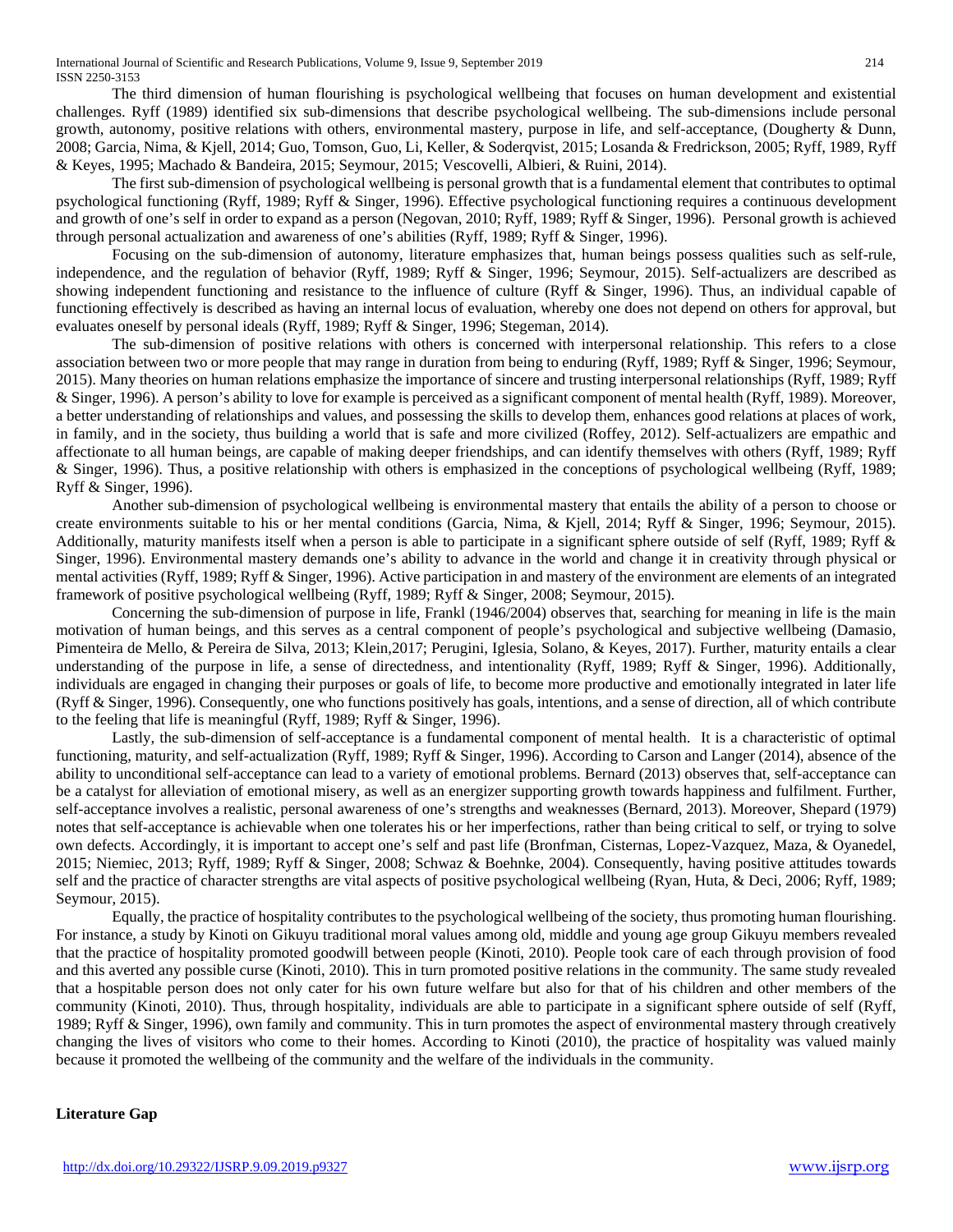The third dimension of human flourishing is psychological wellbeing that focuses on human development and existential challenges. Ryff (1989) identified six sub-dimensions that describe psychological wellbeing. The sub-dimensions include personal growth, autonomy, positive relations with others, environmental mastery, purpose in life, and self-acceptance, (Dougherty & Dunn, 2008; Garcia, Nima, & Kjell, 2014; Guo, Tomson, Guo, Li, Keller, & Soderqvist, 2015; Losanda & Fredrickson, 2005; Ryff, 1989, Ryff & Keyes, 1995; Machado & Bandeira, 2015; Seymour, 2015; Vescovelli, Albieri, & Ruini, 2014).

The first sub-dimension of psychological wellbeing is personal growth that is a fundamental element that contributes to optimal psychological functioning (Ryff, 1989; Ryff & Singer, 1996). Effective psychological functioning requires a continuous development and growth of one's self in order to expand as a person (Negovan, 2010; Ryff, 1989; Ryff & Singer, 1996). Personal growth is achieved through personal actualization and awareness of one's abilities (Ryff, 1989; Ryff & Singer, 1996).

Focusing on the sub-dimension of autonomy, literature emphasizes that, human beings possess qualities such as self-rule, independence, and the regulation of behavior (Ryff, 1989; Ryff & Singer, 1996; Seymour, 2015). Self-actualizers are described as showing independent functioning and resistance to the influence of culture (Ryff & Singer, 1996). Thus, an individual capable of functioning effectively is described as having an internal locus of evaluation, whereby one does not depend on others for approval, but evaluates oneself by personal ideals (Ryff, 1989; Ryff & Singer, 1996; Stegeman, 2014).

The sub-dimension of positive relations with others is concerned with interpersonal relationship. This refers to a close association between two or more people that may range in duration from being to enduring (Ryff, 1989; Ryff & Singer, 1996; Seymour, 2015). Many theories on human relations emphasize the importance of sincere and trusting interpersonal relationships (Ryff, 1989; Ryff & Singer, 1996). A person's ability to love for example is perceived as a significant component of mental health (Ryff, 1989). Moreover, a better understanding of relationships and values, and possessing the skills to develop them, enhances good relations at places of work, in family, and in the society, thus building a world that is safe and more civilized (Roffey, 2012). Self-actualizers are empathic and affectionate to all human beings, are capable of making deeper friendships, and can identify themselves with others (Ryff, 1989; Ryff & Singer, 1996). Thus, a positive relationship with others is emphasized in the conceptions of psychological wellbeing (Ryff, 1989; Ryff & Singer, 1996).

Another sub-dimension of psychological wellbeing is environmental mastery that entails the ability of a person to choose or create environments suitable to his or her mental conditions (Garcia, Nima, & Kjell, 2014; Ryff & Singer, 1996; Seymour, 2015). Additionally, maturity manifests itself when a person is able to participate in a significant sphere outside of self (Ryff, 1989; Ryff & Singer, 1996). Environmental mastery demands one's ability to advance in the world and change it in creativity through physical or mental activities (Ryff, 1989; Ryff & Singer, 1996). Active participation in and mastery of the environment are elements of an integrated framework of positive psychological wellbeing (Ryff, 1989; Ryff & Singer, 2008; Seymour, 2015).

Concerning the sub-dimension of purpose in life, Frankl (1946/2004) observes that, searching for meaning in life is the main motivation of human beings, and this serves as a central component of people's psychological and subjective wellbeing (Damasio, Pimenteira de Mello, & Pereira de Silva, 2013; Klein,2017; Perugini, Iglesia, Solano, & Keyes, 2017). Further, maturity entails a clear understanding of the purpose in life, a sense of directedness, and intentionality (Ryff, 1989; Ryff & Singer, 1996). Additionally, individuals are engaged in changing their purposes or goals of life, to become more productive and emotionally integrated in later life (Ryff & Singer, 1996). Consequently, one who functions positively has goals, intentions, and a sense of direction, all of which contribute to the feeling that life is meaningful (Ryff, 1989; Ryff & Singer, 1996).

Lastly, the sub-dimension of self-acceptance is a fundamental component of mental health. It is a characteristic of optimal functioning, maturity, and self-actualization (Ryff, 1989; Ryff & Singer, 1996). According to Carson and Langer (2014), absence of the ability to unconditional self-acceptance can lead to a variety of emotional problems. Bernard (2013) observes that, self-acceptance can be a catalyst for alleviation of emotional misery, as well as an energizer supporting growth towards happiness and fulfilment. Further, self-acceptance involves a realistic, personal awareness of one's strengths and weaknesses (Bernard, 2013). Moreover, Shepard (1979) notes that self-acceptance is achievable when one tolerates his or her imperfections, rather than being critical to self, or trying to solve own defects. Accordingly, it is important to accept one's self and past life (Bronfman, Cisternas, Lopez-Vazquez, Maza, & Oyanedel, 2015; Niemiec, 2013; Ryff, 1989; Ryff & Singer, 2008; Schwaz & Boehnke, 2004). Consequently, having positive attitudes towards self and the practice of character strengths are vital aspects of positive psychological wellbeing (Ryan, Huta, & Deci, 2006; Ryff, 1989; Seymour, 2015).

Equally, the practice of hospitality contributes to the psychological wellbeing of the society, thus promoting human flourishing. For instance, a study by Kinoti on Gikuyu traditional moral values among old, middle and young age group Gikuyu members revealed that the practice of hospitality promoted goodwill between people (Kinoti, 2010). People took care of each through provision of food and this averted any possible curse (Kinoti, 2010). This in turn promoted positive relations in the community. The same study revealed that a hospitable person does not only cater for his own future welfare but also for that of his children and other members of the community (Kinoti, 2010). Thus, through hospitality, individuals are able to participate in a significant sphere outside of self (Ryff, 1989; Ryff & Singer, 1996), own family and community. This in turn promotes the aspect of environmental mastery through creatively changing the lives of visitors who come to their homes. According to Kinoti (2010), the practice of hospitality was valued mainly because it promoted the wellbeing of the community and the welfare of the individuals in the community.

#### **Literature Gap**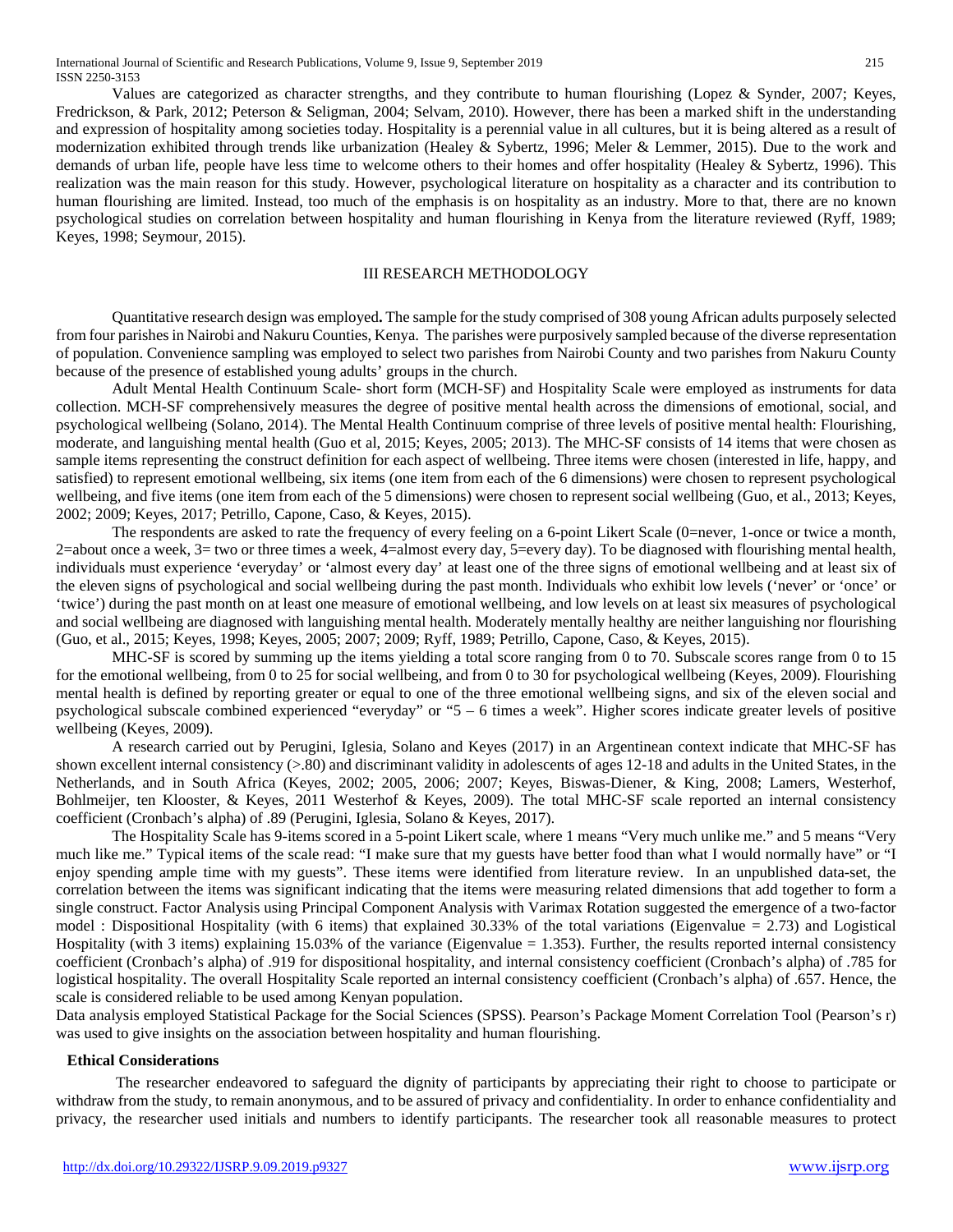Values are categorized as character strengths, and they contribute to human flourishing (Lopez & Synder, 2007; Keyes, Fredrickson, & Park, 2012; Peterson & Seligman, 2004; Selvam, 2010). However, there has been a marked shift in the understanding and expression of hospitality among societies today. Hospitality is a perennial value in all cultures, but it is being altered as a result of modernization exhibited through trends like urbanization (Healey & Sybertz, 1996; Meler & Lemmer, 2015). Due to the work and demands of urban life, people have less time to welcome others to their homes and offer hospitality (Healey & Sybertz, 1996). This realization was the main reason for this study. However, psychological literature on hospitality as a character and its contribution to human flourishing are limited. Instead, too much of the emphasis is on hospitality as an industry. More to that, there are no known psychological studies on correlation between hospitality and human flourishing in Kenya from the literature reviewed (Ryff, 1989; Keyes, 1998; Seymour, 2015).

## III RESEARCH METHODOLOGY

Quantitative research design was employed**.** The sample for the study comprised of 308 young African adults purposely selected from four parishesin Nairobi and Nakuru Counties, Kenya. The parishes were purposively sampled because of the diverse representation of population. Convenience sampling was employed to select two parishes from Nairobi County and two parishes from Nakuru County because of the presence of established young adults' groups in the church.

Adult Mental Health Continuum Scale- short form (MCH-SF) and Hospitality Scale were employed as instruments for data collection. MCH-SF comprehensively measures the degree of positive mental health across the dimensions of emotional, social, and psychological wellbeing (Solano, 2014). The Mental Health Continuum comprise of three levels of positive mental health: Flourishing, moderate, and languishing mental health (Guo et al, 2015; Keyes, 2005; 2013). The MHC-SF consists of 14 items that were chosen as sample items representing the construct definition for each aspect of wellbeing. Three items were chosen (interested in life, happy, and satisfied) to represent emotional wellbeing, six items (one item from each of the 6 dimensions) were chosen to represent psychological wellbeing, and five items (one item from each of the 5 dimensions) were chosen to represent social wellbeing (Guo, et al., 2013; Keyes, 2002; 2009; Keyes, 2017; Petrillo, Capone, Caso, & Keyes, 2015).

The respondents are asked to rate the frequency of every feeling on a 6-point Likert Scale (0=never, 1-once or twice a month, 2=about once a week,  $3=$  two or three times a week,  $4=$ almost every day,  $5=$ every day). To be diagnosed with flourishing mental health, individuals must experience 'everyday' or 'almost every day' at least one of the three signs of emotional wellbeing and at least six of the eleven signs of psychological and social wellbeing during the past month. Individuals who exhibit low levels ('never' or 'once' or 'twice') during the past month on at least one measure of emotional wellbeing, and low levels on at least six measures of psychological and social wellbeing are diagnosed with languishing mental health. Moderately mentally healthy are neither languishing nor flourishing (Guo, et al., 2015; Keyes, 1998; Keyes, 2005; 2007; 2009; Ryff, 1989; Petrillo, Capone, Caso, & Keyes, 2015).

MHC-SF is scored by summing up the items yielding a total score ranging from 0 to 70. Subscale scores range from 0 to 15 for the emotional wellbeing, from 0 to 25 for social wellbeing, and from 0 to 30 for psychological wellbeing (Keyes, 2009). Flourishing mental health is defined by reporting greater or equal to one of the three emotional wellbeing signs, and six of the eleven social and psychological subscale combined experienced "everyday" or "5 – 6 times a week". Higher scores indicate greater levels of positive wellbeing (Keyes, 2009).

A research carried out by Perugini, Iglesia, Solano and Keyes (2017) in an Argentinean context indicate that MHC-SF has shown excellent internal consistency (>.80) and discriminant validity in adolescents of ages 12-18 and adults in the United States, in the Netherlands, and in South Africa (Keyes, 2002; 2005, 2006; 2007; Keyes, Biswas-Diener, & King, 2008; Lamers, Westerhof, Bohlmeijer, ten Klooster, & Keyes, 2011 Westerhof & Keyes, 2009). The total MHC-SF scale reported an internal consistency coefficient (Cronbach's alpha) of .89 (Perugini, Iglesia, Solano & Keyes, 2017).

The Hospitality Scale has 9-items scored in a 5-point Likert scale, where 1 means "Very much unlike me." and 5 means "Very much like me." Typical items of the scale read: "I make sure that my guests have better food than what I would normally have" or "I enjoy spending ample time with my guests". These items were identified from literature review. In an unpublished data-set, the correlation between the items was significant indicating that the items were measuring related dimensions that add together to form a single construct. Factor Analysis using Principal Component Analysis with Varimax Rotation suggested the emergence of a two-factor model : Dispositional Hospitality (with 6 items) that explained  $30.33\%$  of the total variations (Eigenvalue = 2.73) and Logistical Hospitality (with 3 items) explaining 15.03% of the variance (Eigenvalue  $= 1.353$ ). Further, the results reported internal consistency coefficient (Cronbach's alpha) of .919 for dispositional hospitality, and internal consistency coefficient (Cronbach's alpha) of .785 for logistical hospitality. The overall Hospitality Scale reported an internal consistency coefficient (Cronbach's alpha) of .657. Hence, the scale is considered reliable to be used among Kenyan population.

Data analysis employed Statistical Package for the Social Sciences (SPSS). Pearson's Package Moment Correlation Tool (Pearson's r) was used to give insights on the association between hospitality and human flourishing.

## **Ethical Considerations**

The researcher endeavored to safeguard the dignity of participants by appreciating their right to choose to participate or withdraw from the study, to remain anonymous, and to be assured of privacy and confidentiality. In order to enhance confidentiality and privacy, the researcher used initials and numbers to identify participants. The researcher took all reasonable measures to protect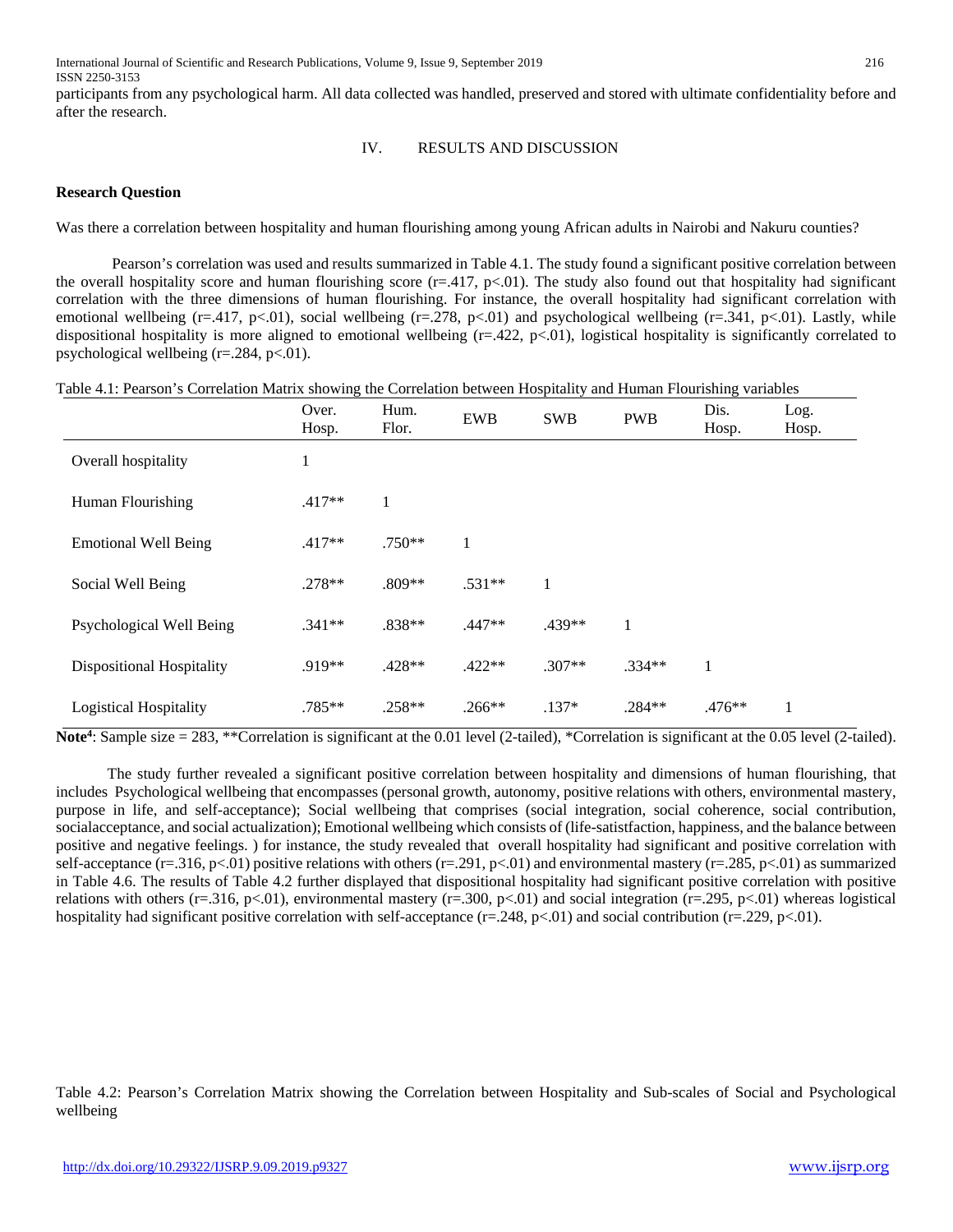participants from any psychological harm. All data collected was handled, preserved and stored with ultimate confidentiality before and after the research.

#### IV. RESULTS AND DISCUSSION

## **Research Question**

Was there a correlation between hospitality and human flourishing among young African adults in Nairobi and Nakuru counties?

Pearson's correlation was used and results summarized in Table 4.1. The study found a significant positive correlation between the overall hospitality score and human flourishing score  $(r=417, p<0.01)$ . The study also found out that hospitality had significant correlation with the three dimensions of human flourishing. For instance, the overall hospitality had significant correlation with emotional wellbeing ( $r=417$ ,  $p<01$ ), social wellbeing ( $r=278$ ,  $p<01$ ) and psychological wellbeing ( $r=341$ ,  $p<01$ ). Lastly, while dispositional hospitality is more aligned to emotional wellbeing  $(r=.422, p<.01)$ , logistical hospitality is significantly correlated to psychological wellbeing  $(r=.284, p<.01)$ .

|                               | Over.<br>Hosp. | Hum.<br>Flor. | <b>EWB</b> | <b>SWB</b> | <b>PWB</b> | Dis.<br>Hosp. | Log.<br>Hosp. |
|-------------------------------|----------------|---------------|------------|------------|------------|---------------|---------------|
| Overall hospitality           | 1              |               |            |            |            |               |               |
| Human Flourishing             | $.417**$       | 1             |            |            |            |               |               |
| <b>Emotional Well Being</b>   | $.417**$       | $.750**$      | 1          |            |            |               |               |
| Social Well Being             | $.278**$       | .809**        | $.531**$   | 1          |            |               |               |
| Psychological Well Being      | $.341**$       | .838**        | $.447**$   | $.439**$   | 1          |               |               |
| Dispositional Hospitality     | .919**         | $.428**$      | $.422**$   | $.307**$   | $.334**$   | 1             |               |
| <b>Logistical Hospitality</b> | .785**         | $.258**$      | $.266**$   | $.137*$    | $.284**$   | $.476**$      | 1             |

Note<sup>4</sup>: Sample size = 283, \*\*Correlation is significant at the 0.01 level (2-tailed), \*Correlation is significant at the 0.05 level (2-tailed).

The study further revealed a significant positive correlation between hospitality and dimensions of human flourishing, that includes Psychological wellbeing that encompasses (personal growth, autonomy, positive relations with others, environmental mastery, purpose in life, and self-acceptance); Social wellbeing that comprises (social integration, social coherence, social contribution, socialacceptance, and social actualization); Emotional wellbeing which consists of (life-satistfaction, happiness, and the balance between positive and negative feelings. ) for instance, the study revealed that overall hospitality had significant and positive correlation with self-acceptance (r=.316, p<.01) positive relations with others (r=.291, p<.01) and environmental mastery (r=.285, p<.01) as summarized in Table 4.6. The results of Table 4.2 further displayed that dispositional hospitality had significant positive correlation with positive relations with others (r=.316, p<.01), environmental mastery (r=.300, p<.01) and social integration (r=.295, p<.01) whereas logistical hospitality had significant positive correlation with self-acceptance (r=.248, p<.01) and social contribution (r=.229, p<.01).

Table 4.2: Pearson's Correlation Matrix showing the Correlation between Hospitality and Sub-scales of Social and Psychological wellbeing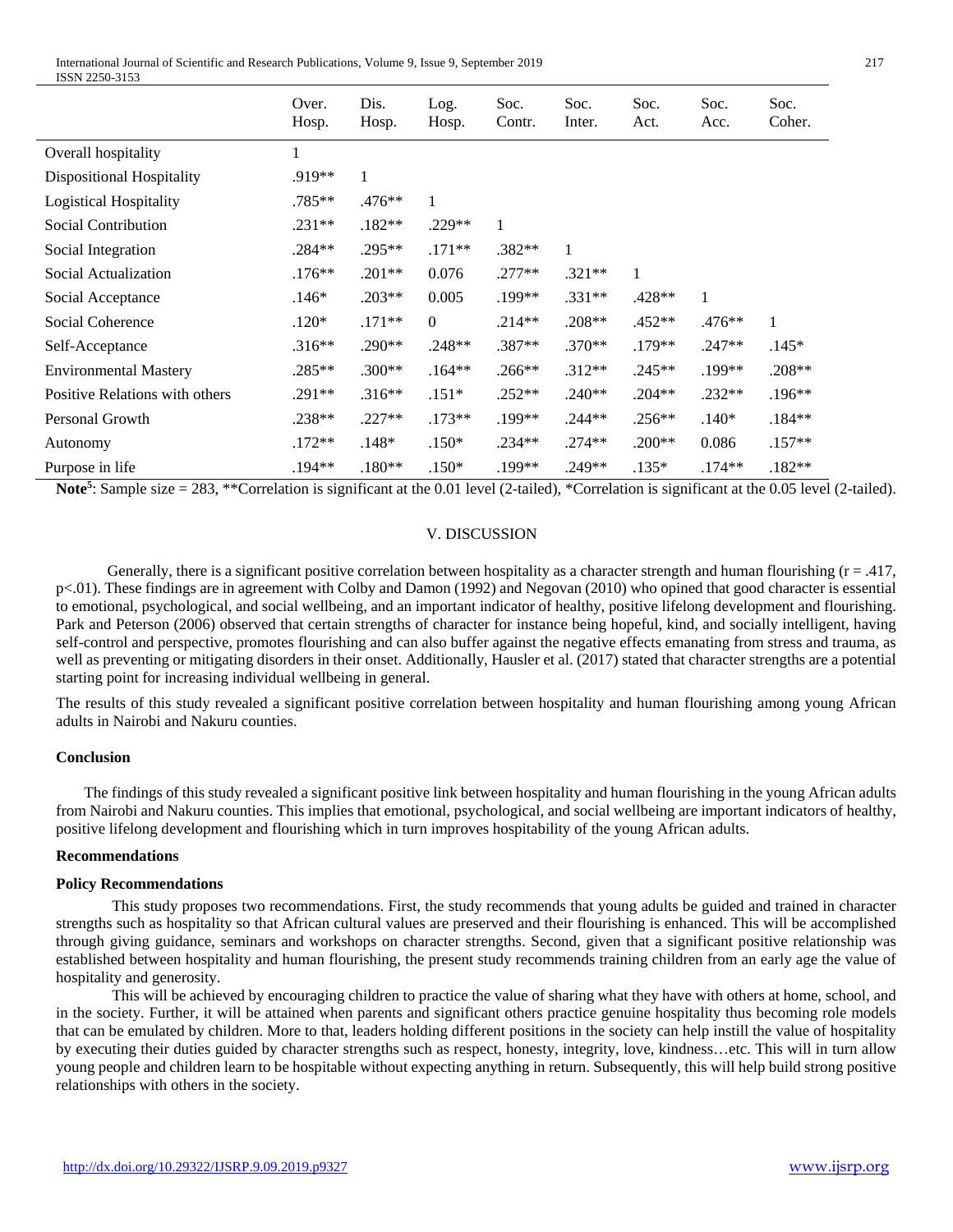|                                  | Over.<br>Hosp. | Dis.<br>Hosp. | Log.<br>Hosp. | Soc.<br>Contr. | Soc.<br>Inter. | Soc.<br>Act. | Soc.<br>Acc. | Soc.<br>Coher. |
|----------------------------------|----------------|---------------|---------------|----------------|----------------|--------------|--------------|----------------|
| Overall hospitality              | 1              |               |               |                |                |              |              |                |
| <b>Dispositional Hospitality</b> | .919**         | 1             |               |                |                |              |              |                |
| <b>Logistical Hospitality</b>    | .785**         | $.476**$      |               |                |                |              |              |                |
| Social Contribution              | $.231**$       | $.182**$      | $.229**$      | 1              |                |              |              |                |
| Social Integration               | $.284**$       | .295**        | $.171**$      | .382**         | 1              |              |              |                |
| Social Actualization             | $.176***$      | $.201**$      | 0.076         | $.277**$       | $.321**$       | 1            |              |                |
| Social Acceptance                | $.146*$        | $.203**$      | 0.005         | .199**         | $.331**$       | .428**       | 1            |                |
| Social Coherence                 | $.120*$        | $.171**$      | $\Omega$      | $.214**$       | $.208**$       | $.452**$     | $.476**$     | $\mathbf{1}$   |
| Self-Acceptance                  | $.316**$       | $.290**$      | $.248**$      | $.387**$       | $.370**$       | $.179**$     | $.247**$     | $.145*$        |
| <b>Environmental Mastery</b>     | $.285**$       | $.300**$      | $.164**$      | $.266**$       | $.312**$       | $.245**$     | .199**       | $.208**$       |
| Positive Relations with others   | .291**         | $.316**$      | $.151*$       | $.252**$       | $.240**$       | $.204**$     | $.232**$     | $.196**$       |
| Personal Growth                  | $.238**$       | $.227**$      | $.173**$      | .199**         | $.244**$       | $.256**$     | $.140*$      | $.184**$       |
| Autonomy                         | $.172**$       | $.148*$       | $.150*$       | $.234**$       | $.274**$       | $.200**$     | 0.086        | $.157**$       |
| Purpose in life                  | .194**         | $.180**$      | $.150*$       | .199**         | .249**         | $.135*$      | $.174**$     | $.182**$       |

Note<sup>5</sup>: Sample size = 283, \*\*Correlation is significant at the 0.01 level (2-tailed), \*Correlation is significant at the 0.05 level (2-tailed).

#### V. DISCUSSION

Generally, there is a significant positive correlation between hospitality as a character strength and human flourishing  $(r = .417, )$ p<.01). These findings are in agreement with Colby and Damon (1992) and Negovan (2010) who opined that good character is essential to emotional, psychological, and social wellbeing, and an important indicator of healthy, positive lifelong development and flourishing. Park and Peterson (2006) observed that certain strengths of character for instance being hopeful, kind, and socially intelligent, having self-control and perspective, promotes flourishing and can also buffer against the negative effects emanating from stress and trauma, as well as preventing or mitigating disorders in their onset. Additionally, Hausler et al. (2017) stated that character strengths are a potential starting point for increasing individual wellbeing in general.

The results of this study revealed a significant positive correlation between hospitality and human flourishing among young African adults in Nairobi and Nakuru counties.

#### **Conclusion**

The findings of this study revealed a significant positive link between hospitality and human flourishing in the young African adults from Nairobi and Nakuru counties. This implies that emotional, psychological, and social wellbeing are important indicators of healthy, positive lifelong development and flourishing which in turn improves hospitability of the young African adults.

## **Recommendations**

#### **Policy Recommendations**

This study proposes two recommendations. First, the study recommends that young adults be guided and trained in character strengths such as hospitality so that African cultural values are preserved and their flourishing is enhanced. This will be accomplished through giving guidance, seminars and workshops on character strengths. Second, given that a significant positive relationship was established between hospitality and human flourishing, the present study recommends training children from an early age the value of hospitality and generosity.

This will be achieved by encouraging children to practice the value of sharing what they have with others at home, school, and in the society. Further, it will be attained when parents and significant others practice genuine hospitality thus becoming role models that can be emulated by children. More to that, leaders holding different positions in the society can help instill the value of hospitality by executing their duties guided by character strengths such as respect, honesty, integrity, love, kindness…etc. This will in turn allow young people and children learn to be hospitable without expecting anything in return. Subsequently, this will help build strong positive relationships with others in the society.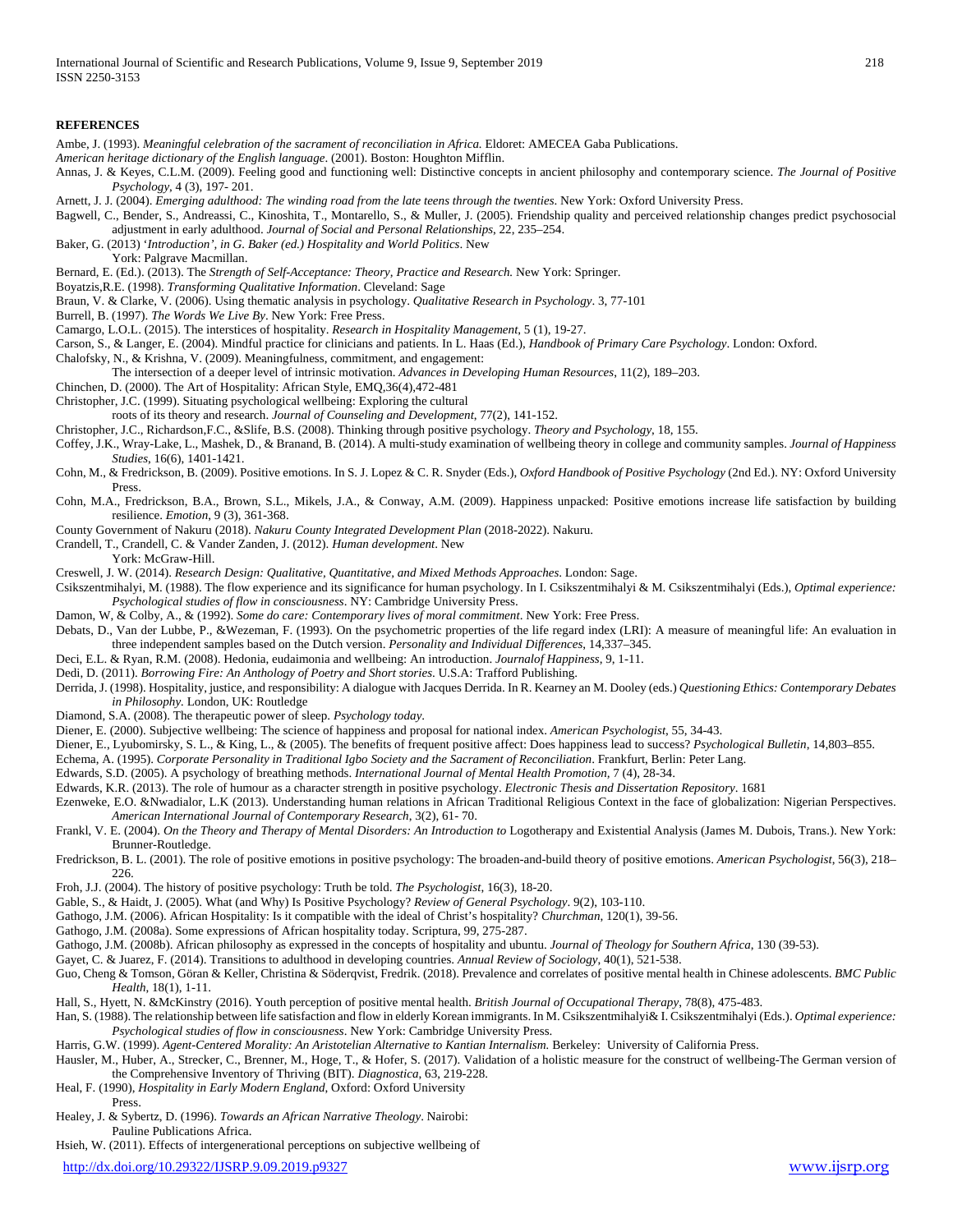#### **REFERENCES**

- Ambe, J. (1993). *Meaningful celebration of the sacrament of reconciliation in Africa.* Eldoret: AMECEA Gaba Publications.
- *American heritage dictionary of the English language*. (2001). Boston: Houghton Mifflin.
- Annas, J. & Keyes, C.L.M. (2009). Feeling good and functioning well: Distinctive concepts in ancient philosophy and contemporary science. *The Journal of Positive Psychology*, 4 (3), 197- 201.
- Arnett, J. J. (2004). *Emerging adulthood: The winding road from the late teens through the twenties*. New York: Oxford University Press.
- Bagwell, C., Bender, S., Andreassi, C., Kinoshita, T., Montarello, S., & Muller, J. (2005). Friendship quality and perceived relationship changes predict psychosocial adjustment in early adulthood. *Journal of Social and Personal Relationships*, 22, 235–254.
- Baker, G. (2013) '*Introduction', in G. Baker (ed.) Hospitality and World Politics*. New York: Palgrave Macmillan.
- Bernard, E. (Ed.). (2013). The *Strength of Self-Acceptance: Theory, Practice and Research.* New York: Springer.
- Boyatzis,R.E. (1998). *Transforming Qualitative Information*. Cleveland: Sage
- Braun, V. & Clarke, V. (2006). Using thematic analysis in psychology. *Qualitative Research in Psychology*. 3, 77-101
- Burrell, B. (1997). *The Words We Live By*. New York: Free Press.
- Camargo, L.O.L. (2015). The interstices of hospitality. *Research in Hospitality Management*, 5 (1), 19-27.
- Carson, S., & Langer, E. (2004). Mindful practice for clinicians and patients. In L. Haas (Ed.), *Handbook of Primary Care Psychology*. London: Oxford.
- Chalofsky, N., & Krishna, V. (2009). Meaningfulness, commitment, and engagement:
- The intersection of a deeper level of intrinsic motivation. *Advances in Developing Human Resources*, 11(2), 189–203.
- Chinchen, D. (2000). The Art of Hospitality: African Style, EMQ,36(4),472-481
- Christopher, J.C. (1999). Situating psychological wellbeing: Exploring the cultural
- roots of its theory and research. *Journal of Counseling and Development*, 77(2), 141-152.
- Christopher, J.C., Richardson,F.C., &Slife, B.S. (2008). Thinking through positive psychology. *Theory and Psychology*, 18, 155.
- Coffey, J.K., Wray-Lake, L., Mashek, D., & Branand, B. (2014). A multi-study examination of wellbeing theory in college and community samples. *Journal of Happiness Studies*, 16(6), 1401-1421.
- Cohn, M., & Fredrickson, B. (2009). Positive emotions. In S. J. Lopez & C. R. Snyder (Eds.), *Oxford Handbook of Positive Psychology* (2nd Ed.). NY: Oxford University Press.
- Cohn, M.A., Fredrickson, B.A., Brown, S.L., Mikels, J.A., & Conway, A.M. (2009). Happiness unpacked: Positive emotions increase life satisfaction by building resilience. *Emotion*, 9 (3), 361-368.
- County Government of Nakuru (2018). *Nakuru County Integrated Development Plan* (2018-2022). Nakuru.
- Crandell, T., Crandell, C. & Vander Zanden, J. (2012). *Human development*. New
- York: McGraw-Hill.
- Creswell, J. W. (2014). *Research Design: Qualitative, Quantitative, and Mixed Methods Approaches*. London: Sage.
- Csikszentmihalyi, M. (1988). The flow experience and its significance for human psychology. In I. Csikszentmihalyi & M. Csikszentmihalyi (Eds.), *Optimal experience: Psychological studies of flow in consciousness*. NY: Cambridge University Press.
- Damon, W, & Colby, A., & (1992). *Some do care: Contemporary lives of moral commitment*. New York: Free Press.
- Debats, D., Van der Lubbe, P., &Wezeman, F. (1993). On the psychometric properties of the life regard index (LRI): A measure of meaningful life: An evaluation in three independent samples based on the Dutch version. *Personality and Individual Differences*, 14,337–345.
- Deci, E.L. & Ryan, R.M. (2008). Hedonia, eudaimonia and wellbeing: An introduction. *Journalof Happiness*, 9, 1-11.
- Dedi, D. (2011). *Borrowing Fire: An Anthology of Poetry and Short stories*. U.S.A: Trafford Publishing.
- Derrida, J. (1998). Hospitality, justice, and responsibility: A dialogue with Jacques Derrida. In R. Kearney an M. Dooley (eds.) *Questioning Ethics: Contemporary Debates in Philosophy.* London, UK: Routledge
- Diamond, S.A. (2008). The therapeutic power of sleep. *Psychology today*.
- Diener, E. (2000). Subjective wellbeing: The science of happiness and proposal for national index. *American Psychologist*, 55, 34-43.
- Diener, E., Lyubomirsky, S. L., & King, L., & (2005). The benefits of frequent positive affect: Does happiness lead to success? *Psychological Bulletin*, 14,803–855.
- Echema, A. (1995). *Corporate Personality in Traditional Igbo Society and the Sacrament of Reconciliation*. Frankfurt, Berlin: Peter Lang.
- Edwards, S.D. (2005). A psychology of breathing methods. *International Journal of Mental Health Promotion,* 7 (4), 28-34.
- Edwards, K.R. (2013). The role of humour as a character strength in positive psychology. *Electronic Thesis and Dissertation Repository*. 1681
- Ezenweke, E.O. &Nwadialor, L.K (2013). Understanding human relations in African Traditional Religious Context in the face of globalization: Nigerian Perspectives. *American International Journal of Contemporary Research*, 3(2), 61- 70.
- Frankl, V. E. (2004). *On the Theory and Therapy of Mental Disorders: An Introduction to* Logotherapy and Existential Analysis (James M. Dubois, Trans.). New York: Brunner-Routledge.
- Fredrickson, B. L. (2001). The role of positive emotions in positive psychology: The broaden-and-build theory of positive emotions. *American Psychologist*, 56(3), 218– 226.
- Froh, J.J. (2004). The history of positive psychology: Truth be told. *The Psychologist*, 16(3), 18-20.
- Gable, S., & Haidt, J. (2005). What (and Why) Is Positive Psychology? *Review of General Psychology*. 9(2), 103-110.
- Gathogo, J.M. (2006). African Hospitality: Is it compatible with the ideal of Christ's hospitality? *Churchman*, 120(1), 39-56.
- Gathogo, J.M. (2008a). Some expressions of African hospitality today. Scriptura, 99, 275-287.
- Gathogo, J.M. (2008b). African philosophy as expressed in the concepts of hospitality and ubuntu. *Journal of Theology for Southern Africa*, 130 (39-53).
- Gayet, C. & Juarez, F. (2014). Transitions to adulthood in developing countries. *Annual Review of Sociology*, 40(1), 521-538.
- Guo, Cheng & Tomson, Göran & Keller, Christina & Söderqvist, Fredrik. (2018). Prevalence and correlates of positive mental health in Chinese adolescents. *BMC Public Health*, 18(1), 1-11.
- Hall, S., Hyett, N. &McKinstry (2016). Youth perception of positive mental health. *British Journal of Occupational Therapy*, 78(8), 475-483.
- Han, S. (1988). The relationship between life satisfaction and flow in elderly Korean immigrants. In M. Csikszentmihalyi& I. Csikszentmihalyi (Eds.). *Optimal experience: Psychological studies of flow in consciousness*. New York: Cambridge University Press.
- Harris, G.W. (1999). *Agent-Centered Morality: An Aristotelian Alternative to Kantian Internalism.* Berkeley: University of California Press.
- Hausler, M., Huber, A., Strecker, C., Brenner, M., Hoge, T., & Hofer, S. (2017). Validation of a holistic measure for the construct of wellbeing-The German version of the Comprehensive Inventory of Thriving (BIT). *Diagnostica*, 63, 219-228.
- Heal, F. (1990), *Hospitality in Early Modern England*, Oxford: Oxford University Press.
- Healey, J. & Sybertz, D. (1996). *Towards an African Narrative Theology*. Nairobi: Pauline Publications Africa.
- Hsieh, W. (2011). Effects of intergenerational perceptions on subjective wellbeing of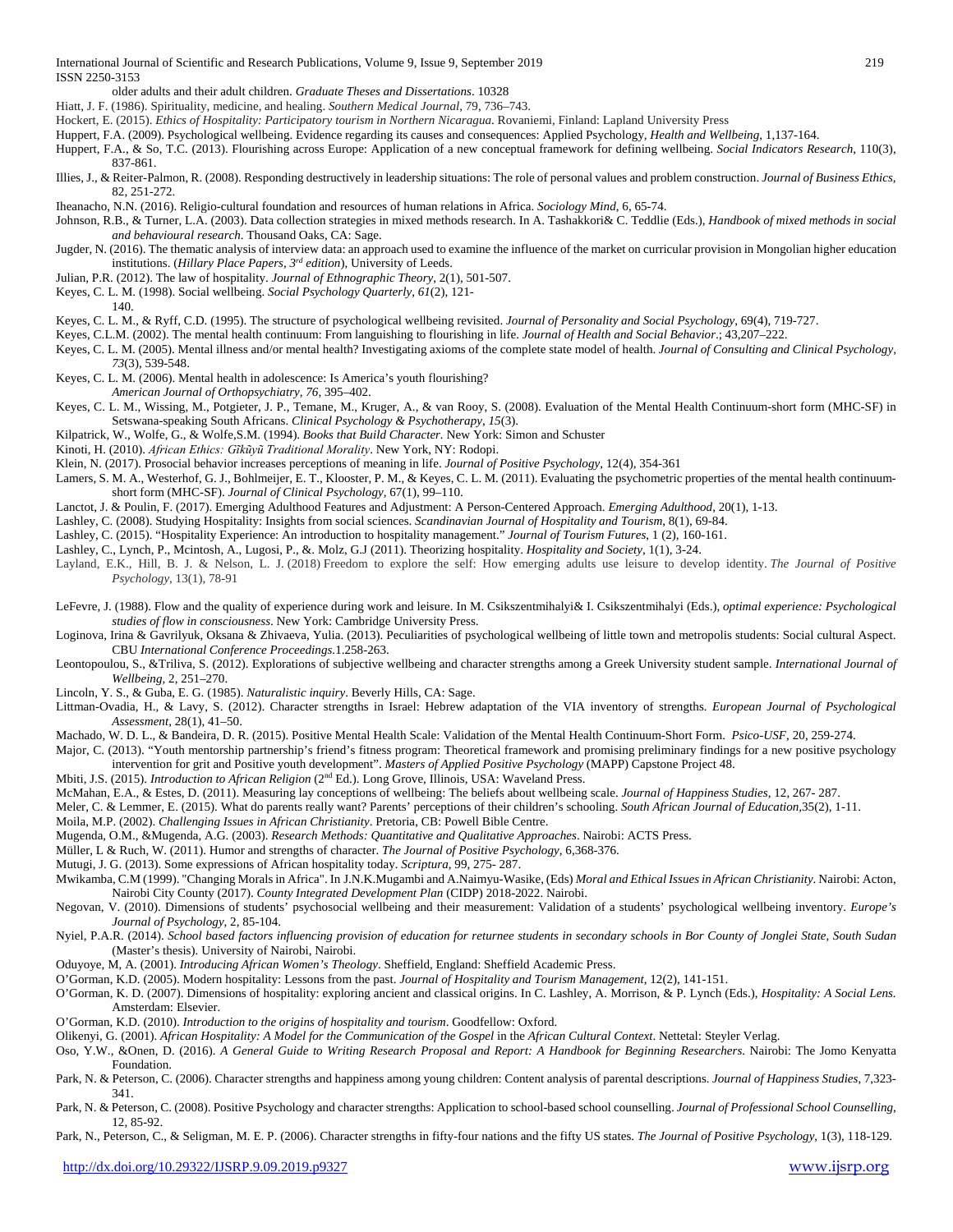older adults and their adult children. *Graduate Theses and Dissertations*. 10328

Hiatt, J. F. (1986). Spirituality, medicine, and healing. *Southern Medical Journal*, 79, 736–743.

- Hockert, E. (2015). *Ethics of Hospitality: Participatory tourism in Northern Nicaragua*. Rovaniemi, Finland: Lapland University Press
- Huppert, F.A. (2009). Psychological wellbeing. Evidence regarding its causes and consequences: Applied Psychology*, Health and Wellbeing*, 1,137-164.
- Huppert, F.A., & So, T.C. (2013). Flourishing across Europe: Application of a new conceptual framework for defining wellbeing. *Social Indicators Research*, 110(3), 837-861.
- Illies, J., & Reiter-Palmon, R. (2008). Responding destructively in leadership situations: The role of personal values and problem construction. *Journal of Business Ethics*, 82, 251-272.
- Iheanacho, N.N. (2016). Religio-cultural foundation and resources of human relations in Africa. *Sociology Mind*, 6, 65-74.
- Johnson, R.B., & Turner, L.A. (2003). Data collection strategies in mixed methods research. In A. Tashakkori& C. Teddlie (Eds.), *Handbook of mixed methods in social and behavioural research*. Thousand Oaks, CA: Sage.
- Jugder, N. (2016). The thematic analysis of interview data: an approach used to examine the influence of the market on curricular provision in Mongolian higher education institutions. (*Hillary Place Papers, 3rd edition*), University of Leeds.
- Julian, P.R. (2012). The law of hospitality. *Journal of Ethnographic Theory*, 2(1), 501-507.
- Keyes, C. L. M. (1998). Social wellbeing. *Social Psychology Quarterly, 61*(2), 121-
- 140.
- Keyes, C. L. M., & Ryff, C.D. (1995). The structure of psychological wellbeing revisited. *Journal of Personality and Social Psychology*, 69(4), 719-727.
- Keyes, C.L.M. (2002). The mental health continuum: From languishing to flourishing in life. *Journal of Health and Social Behavior*.; 43,207–222.
- Keyes, C. L. M. (2005). Mental illness and/or mental health? Investigating axioms of the complete state model of health. *Journal of Consulting and Clinical Psychology,*
- *73*(3), 539-548. Keyes, C. L. M. (2006). Mental health in adolescence: Is America's youth flourishing?
- *American Journal of Orthopsychiatry, 76*, 395–402.
- Keyes, C. L. M., Wissing, M., Potgieter, J. P., Temane, M., Kruger, A., & van Rooy, S. (2008). Evaluation of the Mental Health Continuum-short form (MHC-SF) in Setswana-speaking South Africans. *Clinical Psychology & Psychotherapy*, *15*(3).
- Kilpatrick, W., Wolfe, G., & Wolfe,S.M. (1994). *Books that Build Character.* New York: Simon and Schuster
- Kinoti, H. (2010). *African Ethics: Gĩkũyũ Traditional Morality*. New York, NY: Rodopi.
- Klein, N. (2017). Prosocial behavior increases perceptions of meaning in life. *Journal of Positive Psychology*, 12(4), 354-361
- Lamers, S. M. A., Westerhof, G. J., Bohlmeijer, E. T., Klooster, P. M., & Keyes, C. L. M. (2011). Evaluating the psychometric properties of the mental health continuumshort form (MHC-SF). *Journal of Clinical Psychology,* 67(1), 99–110.
- Lanctot, J. & Poulin, F. (2017). Emerging Adulthood Features and Adjustment: A Person-Centered Approach. *Emerging Adulthood*, 20(1), 1-13.
- Lashley, C. (2008). Studying Hospitality: Insights from social sciences. *Scandinavian Journal of Hospitality and Tourism*, 8(1), 69-84.
- Lashley, C. (2015). "Hospitality Experience: An introduction to hospitality management." *Journal of Tourism Futures*, 1 (2), 160-161.
- Lashley, C., Lynch, P., Mcintosh, A., Lugosi, P., &. Molz, G.J (2011). Theorizing hospitality. *Hospitality and Society*, 1(1), 3-24.
- Layland, E.K., Hill, B. J. & Nelson, L. J. (2018) Freedom to explore the self: How emerging adults use leisure to develop identity. *The Journal of Positive Psychology*, 13(1), 78-91
- LeFevre, J. (1988). Flow and the quality of experience during work and leisure. In M. Csikszentmihalyi& I. Csikszentmihalyi (Eds.), *optimal experience: Psychological studies of flow in consciousness*. New York: Cambridge University Press.
- Loginova, Irina & Gavrilyuk, Oksana & Zhivaeva, Yulia. (2013). Peculiarities of psychological wellbeing of little town and metropolis students: Social cultural Aspect. CBU *International Conference Proceedings.*1.258-263.
- Leontopoulou, S., &Triliva, S. (2012). Explorations of subjective wellbeing and character strengths among a Greek University student sample. *International Journal of Wellbeing,* 2, 251–270.
- Lincoln, Y. S., & Guba, E. G. (1985). *Naturalistic inquiry*. Beverly Hills, CA: Sage.
- Littman-Ovadia, H., & Lavy, S. (2012). Character strengths in Israel: Hebrew adaptation of the VIA inventory of strengths. *European Journal of Psychological Assessment*, 28(1), 41–50.
- Machado, W. D. L., & Bandeira, D. R. (2015). Positive Mental Health Scale: Validation of the Mental Health Continuum-Short Form. *Psico-USF*, 20, 259-274.

Major, C. (2013). "Youth mentorship partnership's friend's fitness program: Theoretical framework and promising preliminary findings for a new positive psychology intervention for grit and Positive youth development". *Masters of Applied Positive Psychology* (MAPP) Capstone Project 48.

- Mbiti, J.S. (2015). *Introduction to African Religion* (2nd Ed.). Long Grove, Illinois, USA: Waveland Press.
- McMahan, E.A., & Estes, D. (2011). Measuring lay conceptions of wellbeing: The beliefs about wellbeing scale. *Journal of Happiness Studies*, 12, 267- 287.
- Meler, C. & Lemmer, E. (2015). What do parents really want? Parents' perceptions of their children's schooling. *South African Journal of Education,*35(2), 1-11.
- Moila, M.P. (2002). *Challenging Issues in African Christianity*. Pretoria, CB: Powell Bible Centre.
- Mugenda, O.M., &Mugenda, A.G. (2003). *Research Methods: Quantitative and Qualitative Approaches*. Nairobi: ACTS Press.
- Müller, L & Ruch, W. (2011). Humor and strengths of character. *The Journal of Positive Psychology*, 6,368-376.
- Mutugi, J. G. (2013). Some expressions of African hospitality today. *Scriptura*, 99, 275- 287.
- Mwikamba, C.M (1999). "Changing Morals in Africa". In J.N.K.Mugambi and A.Naimyu-Wasike, (Eds) *Moral and Ethical Issues in African Christianity*. Nairobi: Acton, Nairobi City County (2017). *County Integrated Development Plan* (CIDP) 2018-2022. Nairobi.
- Negovan, V. (2010). Dimensions of students' psychosocial wellbeing and their measurement: Validation of a students' psychological wellbeing inventory. *Europe's Journal of Psychology*, 2, 85-104.
- Nyiel, P.A.R. (2014). *School based factors influencing provision of education for returnee students in secondary schools in Bor County of Jonglei State, South Sudan* (Master's thesis). University of Nairobi, Nairobi.
- Oduyoye, M, A. (2001). *Introducing African Women's Theology*. Sheffield, England: Sheffield Academic Press.
- O'Gorman, K.D. (2005). Modern hospitality: Lessons from the past. *Journal of Hospitality and Tourism Management*, 12(2), 141-151.
- O'Gorman, K. D. (2007). Dimensions of hospitality: exploring ancient and classical origins. In C. Lashley, A. Morrison, & P. Lynch (Eds.), *Hospitality: A Social Lens.* Amsterdam: Elsevier.
- O'Gorman, K.D. (2010). *Introduction to the origins of hospitality and tourism*. Goodfellow: Oxford.
- Olikenyi, G. (2001). *African Hospitality: A Model for the Communication of the Gospel* in the *African Cultural Context*. Nettetal: Steyler Verlag.
- Oso, Y.W., &Onen, D. (2016). *A General Guide to Writing Research Proposal and Report: A Handbook for Beginning Researchers*. Nairobi: The Jomo Kenyatta Foundation.
- Park, N. & Peterson, C. (2006). Character strengths and happiness among young children: Content analysis of parental descriptions. *Journal of Happiness Studies*, 7,323- 341.
- Park, N. & Peterson, C. (2008). Positive Psychology and character strengths: Application to school-based school counselling. *Journal of Professional School Counselling*, 12, 85-92.

Park, N., Peterson, C., & Seligman, M. E. P. (2006). Character strengths in fifty-four nations and the fifty US states. *The Journal of Positive Psychology*, 1(3), 118-129.